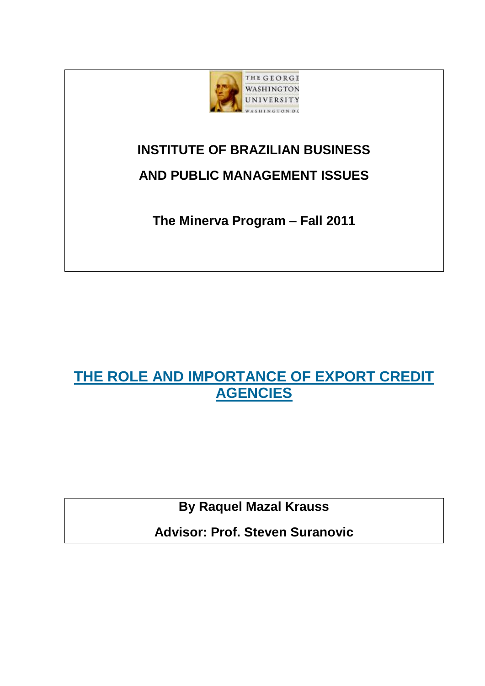

# **INSTITUTE OF BRAZILIAN BUSINESS**

# **AND PUBLIC MANAGEMENT ISSUES**

**The Minerva Program – Fall 2011**

# **THE ROLE AND IMPORTANCE OF EXPORT CREDIT AGENCIES**

**By Raquel Mazal Krauss**

**Advisor: Prof. Steven Suranovic**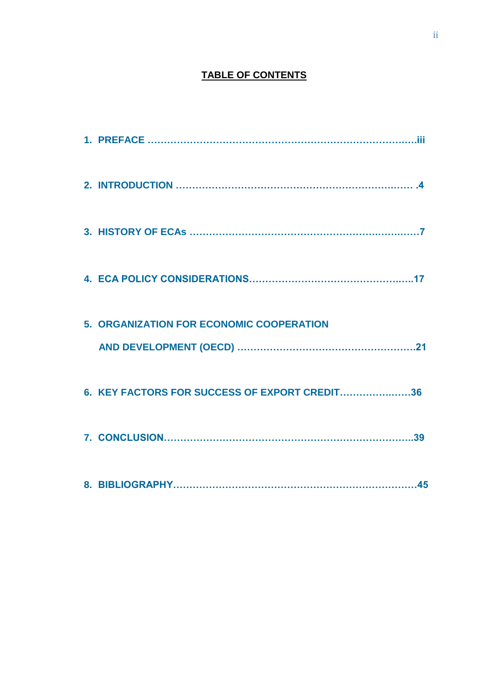# **TABLE OF CONTENTS**

| <b>5. ORGANIZATION FOR ECONOMIC COOPERATION</b> |
|-------------------------------------------------|
| 6. KEY FACTORS FOR SUCCESS OF EXPORT CREDIT36   |
|                                                 |
|                                                 |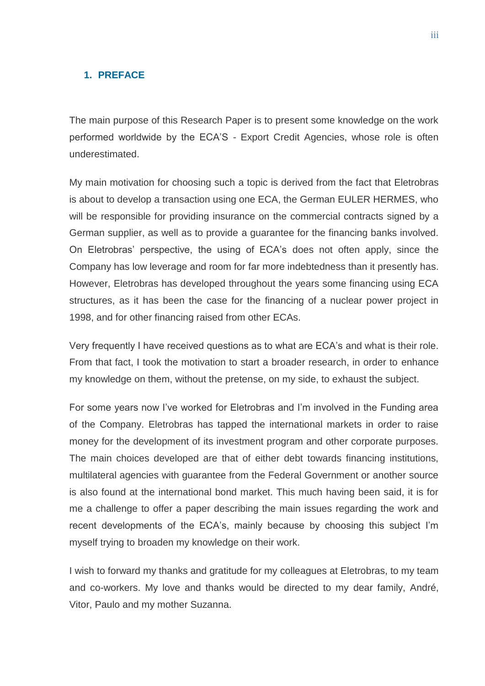# **1. PREFACE**

The main purpose of this Research Paper is to present some knowledge on the work performed worldwide by the ECA'S - Export Credit Agencies, whose role is often underestimated.

My main motivation for choosing such a topic is derived from the fact that Eletrobras is about to develop a transaction using one ECA, the German EULER HERMES, who will be responsible for providing insurance on the commercial contracts signed by a German supplier, as well as to provide a guarantee for the financing banks involved. On Eletrobras' perspective, the using of ECA's does not often apply, since the Company has low leverage and room for far more indebtedness than it presently has. However, Eletrobras has developed throughout the years some financing using ECA structures, as it has been the case for the financing of a nuclear power project in 1998, and for other financing raised from other ECAs.

Very frequently I have received questions as to what are ECA's and what is their role. From that fact, I took the motivation to start a broader research, in order to enhance my knowledge on them, without the pretense, on my side, to exhaust the subject.

For some years now I've worked for Eletrobras and I'm involved in the Funding area of the Company. Eletrobras has tapped the international markets in order to raise money for the development of its investment program and other corporate purposes. The main choices developed are that of either debt towards financing institutions, multilateral agencies with guarantee from the Federal Government or another source is also found at the international bond market. This much having been said, it is for me a challenge to offer a paper describing the main issues regarding the work and recent developments of the ECA's, mainly because by choosing this subject I'm myself trying to broaden my knowledge on their work.

I wish to forward my thanks and gratitude for my colleagues at Eletrobras, to my team and co-workers. My love and thanks would be directed to my dear family, André, Vitor, Paulo and my mother Suzanna.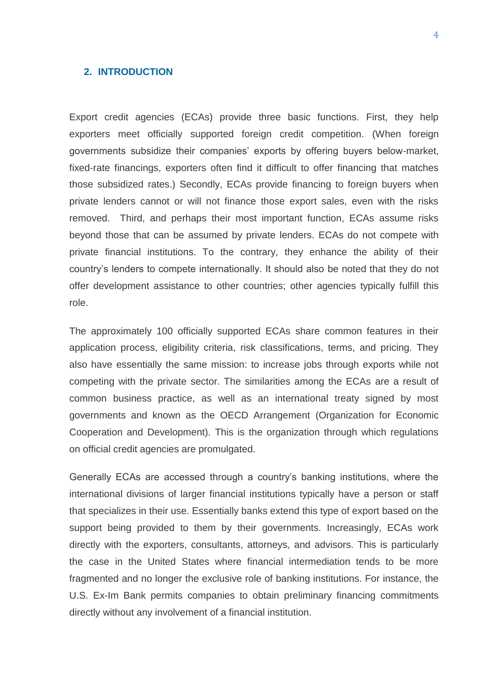# **2. INTRODUCTION**

Export credit agencies (ECAs) provide three basic functions. First, they help exporters meet officially supported foreign credit competition. (When foreign governments subsidize their companies' exports by offering buyers below-market, fixed-rate financings, exporters often find it difficult to offer financing that matches those subsidized rates.) Secondly, ECAs provide financing to foreign buyers when private lenders cannot or will not finance those export sales, even with the risks removed. Third, and perhaps their most important function, ECAs assume risks beyond those that can be assumed by private lenders. ECAs do not compete with private financial institutions. To the contrary, they enhance the ability of their country's lenders to compete internationally. It should also be noted that they do not offer development assistance to other countries; other agencies typically fulfill this role.

The approximately 100 officially supported ECAs share common features in their application process, eligibility criteria, risk classifications, terms, and pricing. They also have essentially the same mission: to increase jobs through exports while not competing with the private sector. The similarities among the ECAs are a result of common business practice, as well as an international treaty signed by most governments and known as the OECD Arrangement (Organization for Economic Cooperation and Development). This is the organization through which regulations on official credit agencies are promulgated.

Generally ECAs are accessed through a country's banking institutions, where the international divisions of larger financial institutions typically have a person or staff that specializes in their use. Essentially banks extend this type of export based on the support being provided to them by their governments. Increasingly, ECAs work directly with the exporters, consultants, attorneys, and advisors. This is particularly the case in the United States where financial intermediation tends to be more fragmented and no longer the exclusive role of banking institutions. For instance, the U.S. Ex-Im Bank permits companies to obtain preliminary financing commitments directly without any involvement of a financial institution.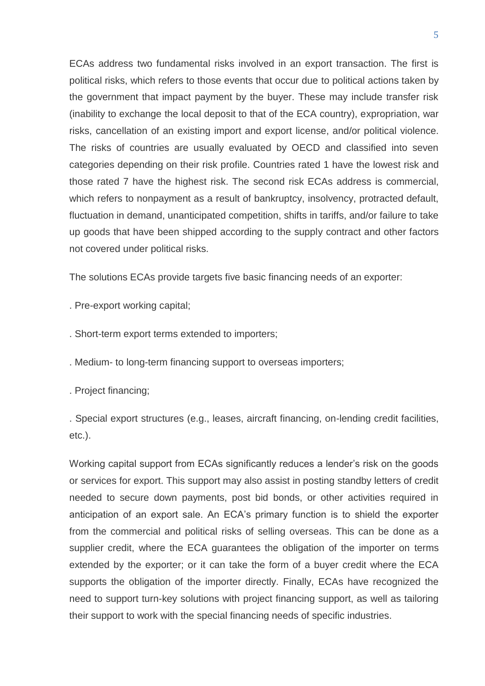ECAs address two fundamental risks involved in an export transaction. The first is political risks, which refers to those events that occur due to political actions taken by the government that impact payment by the buyer. These may include transfer risk (inability to exchange the local deposit to that of the ECA country), expropriation, war risks, cancellation of an existing import and export license, and/or political violence. The risks of countries are usually evaluated by OECD and classified into seven categories depending on their risk profile. Countries rated 1 have the lowest risk and those rated 7 have the highest risk. The second risk ECAs address is commercial, which refers to nonpayment as a result of bankruptcy, insolvency, protracted default, fluctuation in demand, unanticipated competition, shifts in tariffs, and/or failure to take up goods that have been shipped according to the supply contract and other factors not covered under political risks.

The solutions ECAs provide targets five basic financing needs of an exporter:

. Pre-export working capital;

. Short-term export terms extended to importers;

. Medium- to long-term financing support to overseas importers;

. Project financing;

. Special export structures (e.g., leases, aircraft financing, on-lending credit facilities, etc.).

Working capital support from ECAs significantly reduces a lender's risk on the goods or services for export. This support may also assist in posting standby letters of credit needed to secure down payments, post bid bonds, or other activities required in anticipation of an export sale. An ECA's primary function is to shield the exporter from the commercial and political risks of selling overseas. This can be done as a supplier credit, where the ECA guarantees the obligation of the importer on terms extended by the exporter; or it can take the form of a buyer credit where the ECA supports the obligation of the importer directly. Finally, ECAs have recognized the need to support turn-key solutions with project financing support, as well as tailoring their support to work with the special financing needs of specific industries.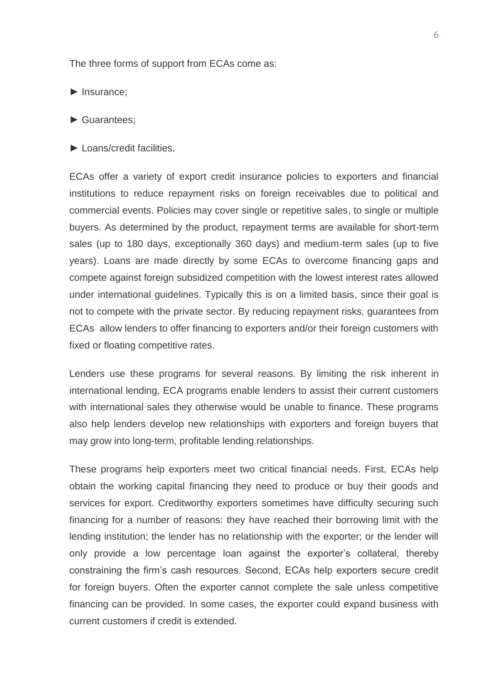The three forms of support from ECAs come as:

- ► Insurance;
- ► Guarantees;
- ► Loans/credit facilities.

ECAs offer a variety of export credit insurance policies to exporters and financial institutions to reduce repayment risks on foreign receivables due to political and commercial events. Policies may cover single or repetitive sales, to single or multiple buyers. As determined by the product, repayment terms are available for short-term sales (up to 180 days, exceptionally 360 days) and medium-term sales (up to five years). Loans are made directly by some ECAs to overcome financing gaps and compete against foreign subsidized competition with the lowest interest rates allowed under international guidelines. Typically this is on a limited basis, since their goal is not to compete with the private sector. By reducing repayment risks, guarantees from ECAs allow lenders to offer financing to exporters and/or their foreign customers with fixed or floating competitive rates.

Lenders use these programs for several reasons. By limiting the risk inherent in international lending, ECA programs enable lenders to assist their current customers with international sales they otherwise would be unable to finance. These programs also help lenders develop new relationships with exporters and foreign buyers that may grow into long-term, profitable lending relationships.

These programs help exporters meet two critical financial needs. First, ECAs help obtain the working capital financing they need to produce or buy their goods and services for export. Creditworthy exporters sometimes have difficulty securing such financing for a number of reasons: they have reached their borrowing limit with the lending institution; the lender has no relationship with the exporter; or the lender will only provide a low percentage loan against the exporter's collateral, thereby constraining the firm's cash resources. Second, ECAs help exporters secure credit for foreign buyers. Often the exporter cannot complete the sale unless competitive financing can be provided. In some cases, the exporter could expand business with current customers if credit is extended.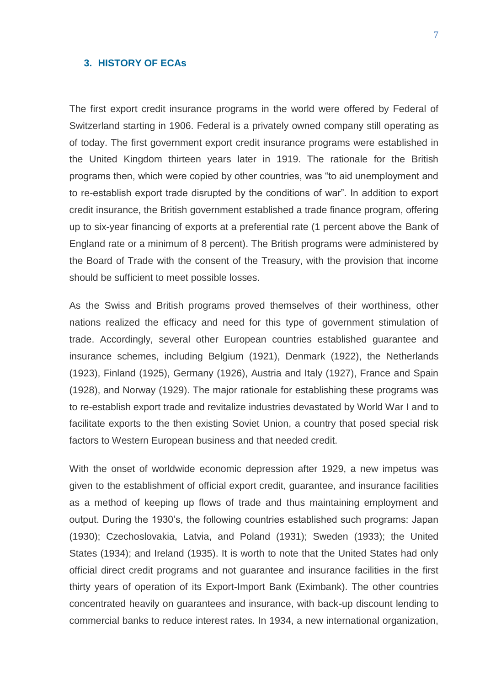# **3. HISTORY OF ECAs**

The first export credit insurance programs in the world were offered by Federal of Switzerland starting in 1906. Federal is a privately owned company still operating as of today. The first government export credit insurance programs were established in the United Kingdom thirteen years later in 1919. The rationale for the British programs then, which were copied by other countries, was "to aid unemployment and to re-establish export trade disrupted by the conditions of war". In addition to export credit insurance, the British government established a trade finance program, offering up to six-year financing of exports at a preferential rate (1 percent above the Bank of England rate or a minimum of 8 percent). The British programs were administered by the Board of Trade with the consent of the Treasury, with the provision that income should be sufficient to meet possible losses.

As the Swiss and British programs proved themselves of their worthiness, other nations realized the efficacy and need for this type of government stimulation of trade. Accordingly, several other European countries established guarantee and insurance schemes, including Belgium (1921), Denmark (1922), the Netherlands (1923), Finland (1925), Germany (1926), Austria and Italy (1927), France and Spain (1928), and Norway (1929). The major rationale for establishing these programs was to re-establish export trade and revitalize industries devastated by World War I and to facilitate exports to the then existing Soviet Union, a country that posed special risk factors to Western European business and that needed credit.

With the onset of worldwide economic depression after 1929, a new impetus was given to the establishment of official export credit, guarantee, and insurance facilities as a method of keeping up flows of trade and thus maintaining employment and output. During the 1930's, the following countries established such programs: Japan (1930); Czechoslovakia, Latvia, and Poland (1931); Sweden (1933); the United States (1934); and Ireland (1935). It is worth to note that the United States had only official direct credit programs and not guarantee and insurance facilities in the first thirty years of operation of its Export-Import Bank (Eximbank). The other countries concentrated heavily on guarantees and insurance, with back-up discount lending to commercial banks to reduce interest rates. In 1934, a new international organization,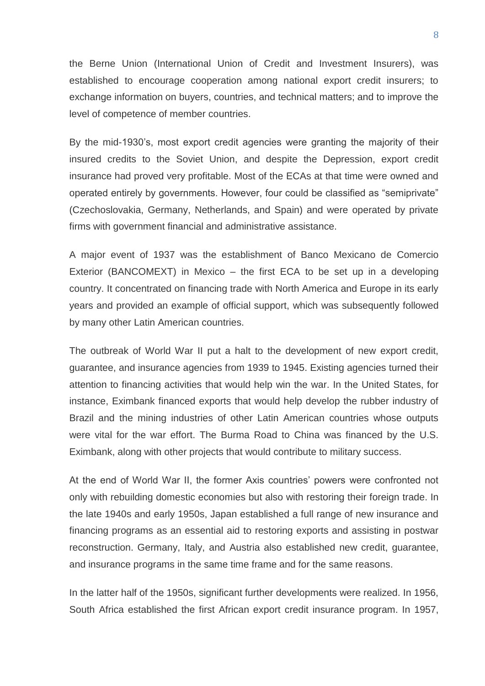the Berne Union (International Union of Credit and Investment Insurers), was established to encourage cooperation among national export credit insurers; to exchange information on buyers, countries, and technical matters; and to improve the level of competence of member countries.

By the mid-1930's, most export credit agencies were granting the majority of their insured credits to the Soviet Union, and despite the Depression, export credit insurance had proved very profitable. Most of the ECAs at that time were owned and operated entirely by governments. However, four could be classified as "semiprivate" (Czechoslovakia, Germany, Netherlands, and Spain) and were operated by private firms with government financial and administrative assistance.

A major event of 1937 was the establishment of Banco Mexicano de Comercio Exterior (BANCOMEXT) in Mexico – the first ECA to be set up in a developing country. It concentrated on financing trade with North America and Europe in its early years and provided an example of official support, which was subsequently followed by many other Latin American countries.

The outbreak of World War II put a halt to the development of new export credit, guarantee, and insurance agencies from 1939 to 1945. Existing agencies turned their attention to financing activities that would help win the war. In the United States, for instance, Eximbank financed exports that would help develop the rubber industry of Brazil and the mining industries of other Latin American countries whose outputs were vital for the war effort. The Burma Road to China was financed by the U.S. Eximbank, along with other projects that would contribute to military success.

At the end of World War II, the former Axis countries' powers were confronted not only with rebuilding domestic economies but also with restoring their foreign trade. In the late 1940s and early 1950s, Japan established a full range of new insurance and financing programs as an essential aid to restoring exports and assisting in postwar reconstruction. Germany, Italy, and Austria also established new credit, guarantee, and insurance programs in the same time frame and for the same reasons.

In the latter half of the 1950s, significant further developments were realized. In 1956, South Africa established the first African export credit insurance program. In 1957,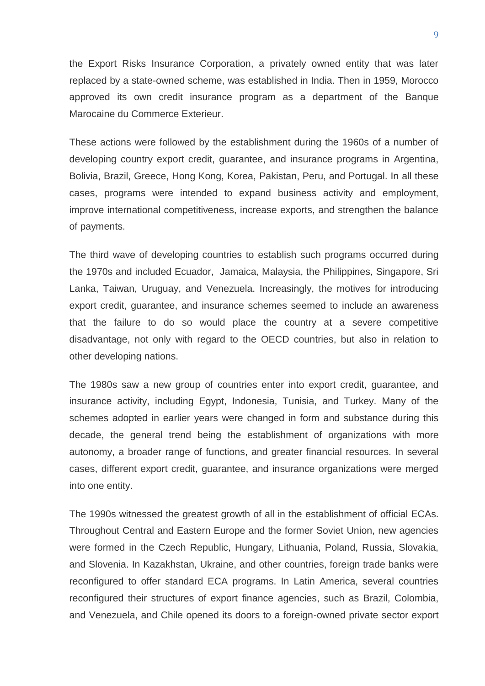the Export Risks Insurance Corporation, a privately owned entity that was later replaced by a state-owned scheme, was established in India. Then in 1959, Morocco approved its own credit insurance program as a department of the Banque Marocaine du Commerce Exterieur.

These actions were followed by the establishment during the 1960s of a number of developing country export credit, guarantee, and insurance programs in Argentina, Bolivia, Brazil, Greece, Hong Kong, Korea, Pakistan, Peru, and Portugal. In all these cases, programs were intended to expand business activity and employment, improve international competitiveness, increase exports, and strengthen the balance of payments.

The third wave of developing countries to establish such programs occurred during the 1970s and included Ecuador, Jamaica, Malaysia, the Philippines, Singapore, Sri Lanka, Taiwan, Uruguay, and Venezuela. Increasingly, the motives for introducing export credit, guarantee, and insurance schemes seemed to include an awareness that the failure to do so would place the country at a severe competitive disadvantage, not only with regard to the OECD countries, but also in relation to other developing nations.

The 1980s saw a new group of countries enter into export credit, guarantee, and insurance activity, including Egypt, Indonesia, Tunisia, and Turkey. Many of the schemes adopted in earlier years were changed in form and substance during this decade, the general trend being the establishment of organizations with more autonomy, a broader range of functions, and greater financial resources. In several cases, different export credit, guarantee, and insurance organizations were merged into one entity.

The 1990s witnessed the greatest growth of all in the establishment of official ECAs. Throughout Central and Eastern Europe and the former Soviet Union, new agencies were formed in the Czech Republic, Hungary, Lithuania, Poland, Russia, Slovakia, and Slovenia. In Kazakhstan, Ukraine, and other countries, foreign trade banks were reconfigured to offer standard ECA programs. In Latin America, several countries reconfigured their structures of export finance agencies, such as Brazil, Colombia, and Venezuela, and Chile opened its doors to a foreign-owned private sector export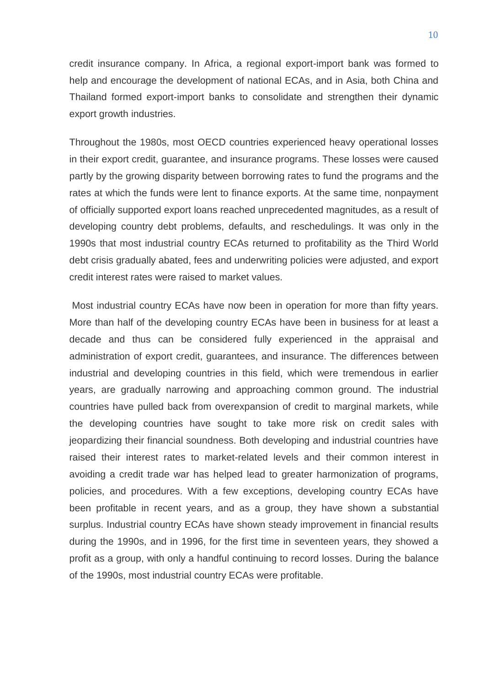credit insurance company. In Africa, a regional export-import bank was formed to help and encourage the development of national ECAs, and in Asia, both China and Thailand formed export-import banks to consolidate and strengthen their dynamic export growth industries.

Throughout the 1980s, most OECD countries experienced heavy operational losses in their export credit, guarantee, and insurance programs. These losses were caused partly by the growing disparity between borrowing rates to fund the programs and the rates at which the funds were lent to finance exports. At the same time, nonpayment of officially supported export loans reached unprecedented magnitudes, as a result of developing country debt problems, defaults, and reschedulings. It was only in the 1990s that most industrial country ECAs returned to profitability as the Third World debt crisis gradually abated, fees and underwriting policies were adjusted, and export credit interest rates were raised to market values.

Most industrial country ECAs have now been in operation for more than fifty years. More than half of the developing country ECAs have been in business for at least a decade and thus can be considered fully experienced in the appraisal and administration of export credit, guarantees, and insurance. The differences between industrial and developing countries in this field, which were tremendous in earlier years, are gradually narrowing and approaching common ground. The industrial countries have pulled back from overexpansion of credit to marginal markets, while the developing countries have sought to take more risk on credit sales with jeopardizing their financial soundness. Both developing and industrial countries have raised their interest rates to market-related levels and their common interest in avoiding a credit trade war has helped lead to greater harmonization of programs, policies, and procedures. With a few exceptions, developing country ECAs have been profitable in recent years, and as a group, they have shown a substantial surplus. Industrial country ECAs have shown steady improvement in financial results during the 1990s, and in 1996, for the first time in seventeen years, they showed a profit as a group, with only a handful continuing to record losses. During the balance of the 1990s, most industrial country ECAs were profitable.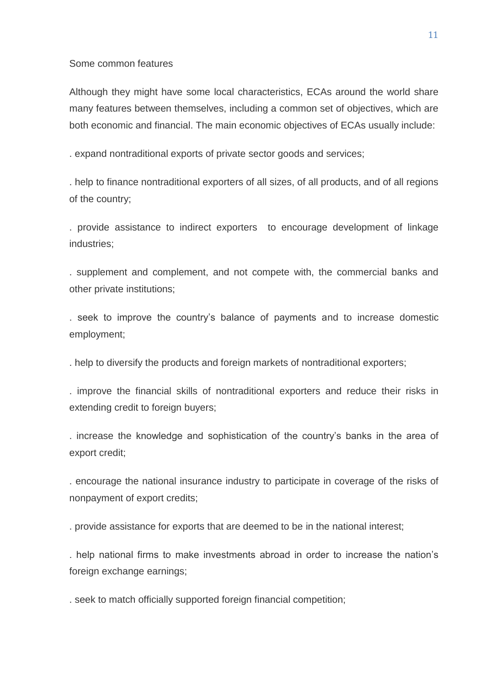#### Some common features

Although they might have some local characteristics, ECAs around the world share many features between themselves, including a common set of objectives, which are both economic and financial. The main economic objectives of ECAs usually include:

. expand nontraditional exports of private sector goods and services;

. help to finance nontraditional exporters of all sizes, of all products, and of all regions of the country;

. provide assistance to indirect exporters to encourage development of linkage industries;

. supplement and complement, and not compete with, the commercial banks and other private institutions;

. seek to improve the country's balance of payments and to increase domestic employment;

. help to diversify the products and foreign markets of nontraditional exporters;

. improve the financial skills of nontraditional exporters and reduce their risks in extending credit to foreign buyers;

. increase the knowledge and sophistication of the country's banks in the area of export credit;

. encourage the national insurance industry to participate in coverage of the risks of nonpayment of export credits;

. provide assistance for exports that are deemed to be in the national interest;

. help national firms to make investments abroad in order to increase the nation's foreign exchange earnings;

. seek to match officially supported foreign financial competition;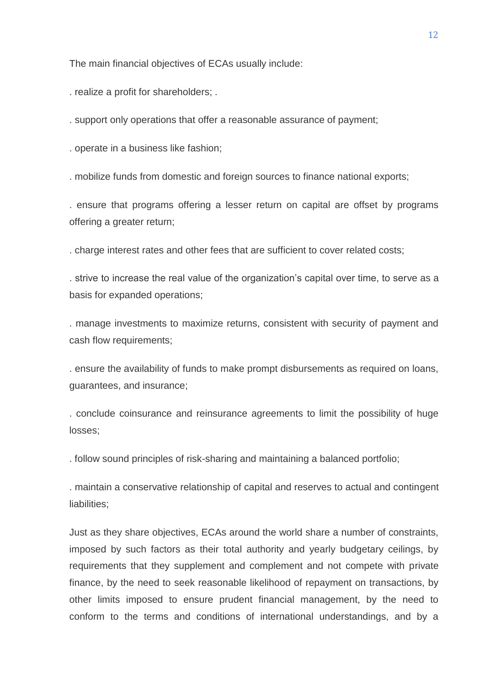The main financial objectives of ECAs usually include:

. realize a profit for shareholders; .

. support only operations that offer a reasonable assurance of payment;

. operate in a business like fashion;

. mobilize funds from domestic and foreign sources to finance national exports;

. ensure that programs offering a lesser return on capital are offset by programs offering a greater return;

. charge interest rates and other fees that are sufficient to cover related costs;

. strive to increase the real value of the organization's capital over time, to serve as a basis for expanded operations;

. manage investments to maximize returns, consistent with security of payment and cash flow requirements;

. ensure the availability of funds to make prompt disbursements as required on loans, guarantees, and insurance;

. conclude coinsurance and reinsurance agreements to limit the possibility of huge losses;

. follow sound principles of risk-sharing and maintaining a balanced portfolio;

. maintain a conservative relationship of capital and reserves to actual and contingent liabilities:

Just as they share objectives, ECAs around the world share a number of constraints, imposed by such factors as their total authority and yearly budgetary ceilings, by requirements that they supplement and complement and not compete with private finance, by the need to seek reasonable likelihood of repayment on transactions, by other limits imposed to ensure prudent financial management, by the need to conform to the terms and conditions of international understandings, and by a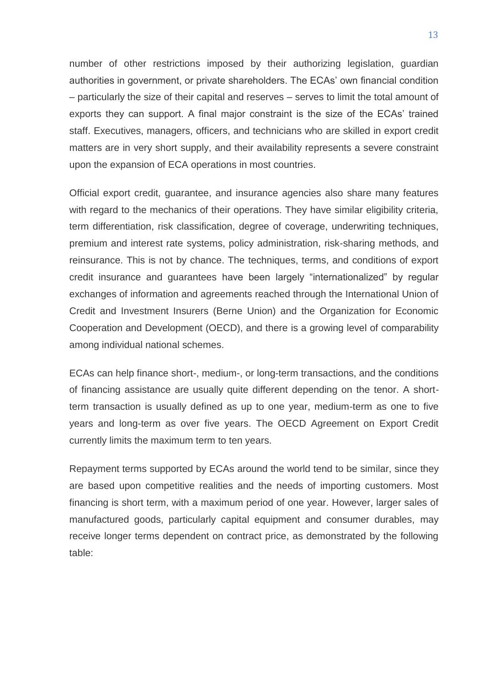number of other restrictions imposed by their authorizing legislation, guardian authorities in government, or private shareholders. The ECAs' own financial condition – particularly the size of their capital and reserves – serves to limit the total amount of exports they can support. A final major constraint is the size of the ECAs' trained staff. Executives, managers, officers, and technicians who are skilled in export credit matters are in very short supply, and their availability represents a severe constraint upon the expansion of ECA operations in most countries.

Official export credit, guarantee, and insurance agencies also share many features with regard to the mechanics of their operations. They have similar eligibility criteria, term differentiation, risk classification, degree of coverage, underwriting techniques, premium and interest rate systems, policy administration, risk-sharing methods, and reinsurance. This is not by chance. The techniques, terms, and conditions of export credit insurance and guarantees have been largely "internationalized" by regular exchanges of information and agreements reached through the International Union of Credit and Investment Insurers (Berne Union) and the Organization for Economic Cooperation and Development (OECD), and there is a growing level of comparability among individual national schemes.

ECAs can help finance short-, medium-, or long-term transactions, and the conditions of financing assistance are usually quite different depending on the tenor. A shortterm transaction is usually defined as up to one year, medium-term as one to five years and long-term as over five years. The OECD Agreement on Export Credit currently limits the maximum term to ten years.

Repayment terms supported by ECAs around the world tend to be similar, since they are based upon competitive realities and the needs of importing customers. Most financing is short term, with a maximum period of one year. However, larger sales of manufactured goods, particularly capital equipment and consumer durables, may receive longer terms dependent on contract price, as demonstrated by the following table: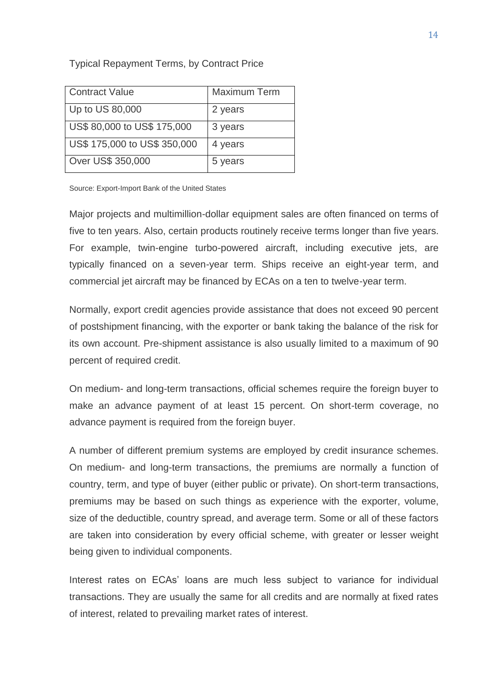# Typical Repayment Terms, by Contract Price

| <b>Contract Value</b>        | <b>Maximum Term</b> |
|------------------------------|---------------------|
| Up to US 80,000              | 2 years             |
| US\$ 80,000 to US\$ 175,000  | 3 years             |
| US\$ 175,000 to US\$ 350,000 | 4 years             |
| Over US\$ 350,000            | 5 years             |

#### Source: Export-Import Bank of the United States

Major projects and multimillion-dollar equipment sales are often financed on terms of five to ten years. Also, certain products routinely receive terms longer than five years. For example, twin-engine turbo-powered aircraft, including executive jets, are typically financed on a seven-year term. Ships receive an eight-year term, and commercial jet aircraft may be financed by ECAs on a ten to twelve-year term.

Normally, export credit agencies provide assistance that does not exceed 90 percent of postshipment financing, with the exporter or bank taking the balance of the risk for its own account. Pre-shipment assistance is also usually limited to a maximum of 90 percent of required credit.

On medium- and long-term transactions, official schemes require the foreign buyer to make an advance payment of at least 15 percent. On short-term coverage, no advance payment is required from the foreign buyer.

A number of different premium systems are employed by credit insurance schemes. On medium- and long-term transactions, the premiums are normally a function of country, term, and type of buyer (either public or private). On short-term transactions, premiums may be based on such things as experience with the exporter, volume, size of the deductible, country spread, and average term. Some or all of these factors are taken into consideration by every official scheme, with greater or lesser weight being given to individual components.

Interest rates on ECAs' loans are much less subject to variance for individual transactions. They are usually the same for all credits and are normally at fixed rates of interest, related to prevailing market rates of interest.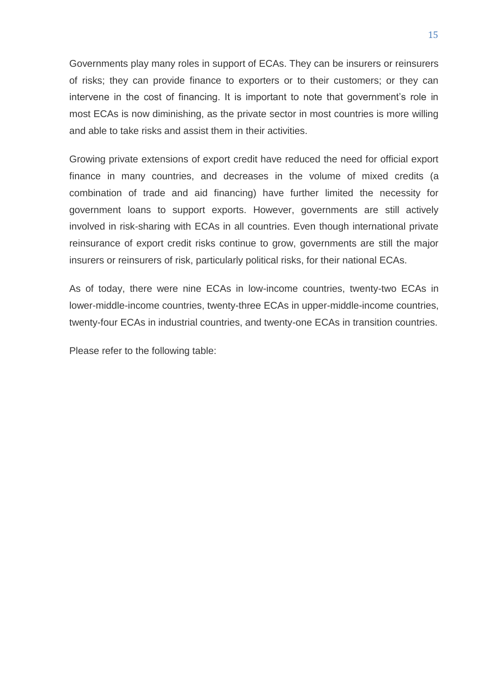Governments play many roles in support of ECAs. They can be insurers or reinsurers of risks; they can provide finance to exporters or to their customers; or they can intervene in the cost of financing. It is important to note that government's role in most ECAs is now diminishing, as the private sector in most countries is more willing and able to take risks and assist them in their activities.

Growing private extensions of export credit have reduced the need for official export finance in many countries, and decreases in the volume of mixed credits (a combination of trade and aid financing) have further limited the necessity for government loans to support exports. However, governments are still actively involved in risk-sharing with ECAs in all countries. Even though international private reinsurance of export credit risks continue to grow, governments are still the major insurers or reinsurers of risk, particularly political risks, for their national ECAs.

As of today, there were nine ECAs in low-income countries, twenty-two ECAs in lower-middle-income countries, twenty-three ECAs in upper-middle-income countries, twenty-four ECAs in industrial countries, and twenty-one ECAs in transition countries.

Please refer to the following table: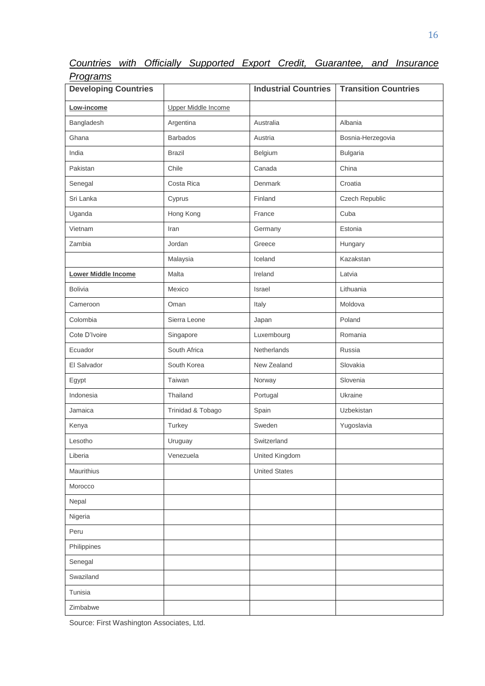| <u>, סוושועטו ו</u><br><b>Developing Countries</b> |                     | <b>Industrial Countries</b> | <b>Transition Countries</b> |
|----------------------------------------------------|---------------------|-----------------------------|-----------------------------|
| Low-income                                         | Upper Middle Income |                             |                             |
| Bangladesh                                         | Argentina           | Australia                   | Albania                     |
| Ghana                                              | <b>Barbados</b>     | Austria                     | Bosnia-Herzegovia           |
| India                                              | <b>Brazil</b>       | Belgium                     | <b>Bulgaria</b>             |
| Pakistan                                           | Chile               | Canada                      | China                       |
| Senegal                                            | Costa Rica          | Denmark                     | Croatia                     |
| Sri Lanka                                          | Cyprus              | Finland                     | Czech Republic              |
| Uganda                                             | Hong Kong           | France                      | Cuba                        |
| Vietnam                                            | Iran                | Germany                     | Estonia                     |
| Zambia                                             | Jordan              | Greece                      | Hungary                     |
|                                                    | Malaysia            | Iceland                     | Kazakstan                   |
| <b>Lower Middle Income</b>                         | Malta               | Ireland                     | Latvia                      |
| <b>Bolivia</b>                                     | Mexico              | Israel                      | Lithuania                   |
| Cameroon                                           | Oman                | Italy                       | Moldova                     |
| Colombia                                           | Sierra Leone        | Japan                       | Poland                      |
| Cote D'Ivoire                                      | Singapore           | Luxembourg                  | Romania                     |
| Ecuador                                            | South Africa        | Netherlands                 | Russia                      |
| El Salvador                                        | South Korea         | New Zealand                 | Slovakia                    |
| Egypt                                              | Taiwan              | Norway                      | Slovenia                    |
| Indonesia                                          | Thailand            | Portugal                    | Ukraine                     |
| Jamaica                                            | Trinidad & Tobago   | Spain                       | Uzbekistan                  |
| Kenya                                              | Turkey              | Sweden                      | Yugoslavia                  |
| Lesotho                                            | Uruguay             | Switzerland                 |                             |
| Liberia                                            | Venezuela           | United Kingdom              |                             |
| Maurithius                                         |                     | <b>United States</b>        |                             |
| Morocco                                            |                     |                             |                             |
| Nepal                                              |                     |                             |                             |
| Nigeria                                            |                     |                             |                             |
| Peru                                               |                     |                             |                             |
| Philippines                                        |                     |                             |                             |
| Senegal                                            |                     |                             |                             |
| Swaziland                                          |                     |                             |                             |
| Tunisia                                            |                     |                             |                             |
| Zimbabwe                                           |                     |                             |                             |

*Countries with Officially Supported Export Credit, Guarantee, and Insurance Programs*

Source: First Washington Associates, Ltd.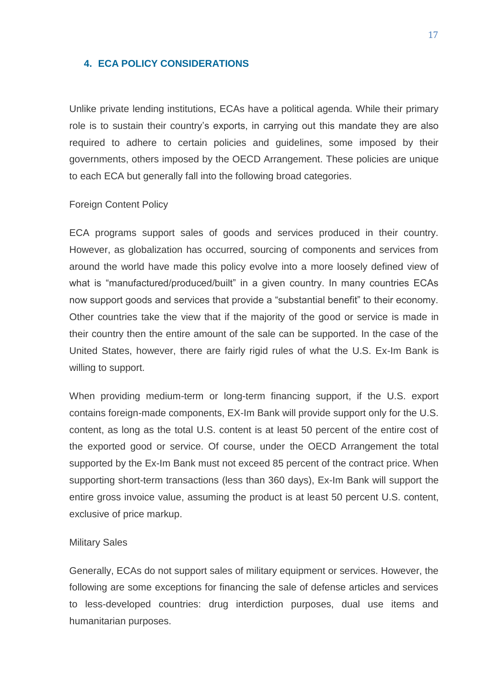# **4. ECA POLICY CONSIDERATIONS**

Unlike private lending institutions, ECAs have a political agenda. While their primary role is to sustain their country's exports, in carrying out this mandate they are also required to adhere to certain policies and guidelines, some imposed by their governments, others imposed by the OECD Arrangement. These policies are unique to each ECA but generally fall into the following broad categories.

# Foreign Content Policy

ECA programs support sales of goods and services produced in their country. However, as globalization has occurred, sourcing of components and services from around the world have made this policy evolve into a more loosely defined view of what is "manufactured/produced/built" in a given country. In many countries ECAs now support goods and services that provide a "substantial benefit" to their economy. Other countries take the view that if the majority of the good or service is made in their country then the entire amount of the sale can be supported. In the case of the United States, however, there are fairly rigid rules of what the U.S. Ex-Im Bank is willing to support.

When providing medium-term or long-term financing support, if the U.S. export contains foreign-made components, EX-Im Bank will provide support only for the U.S. content, as long as the total U.S. content is at least 50 percent of the entire cost of the exported good or service. Of course, under the OECD Arrangement the total supported by the Ex-Im Bank must not exceed 85 percent of the contract price. When supporting short-term transactions (less than 360 days), Ex-Im Bank will support the entire gross invoice value, assuming the product is at least 50 percent U.S. content, exclusive of price markup.

#### Military Sales

Generally, ECAs do not support sales of military equipment or services. However, the following are some exceptions for financing the sale of defense articles and services to less-developed countries: drug interdiction purposes, dual use items and humanitarian purposes.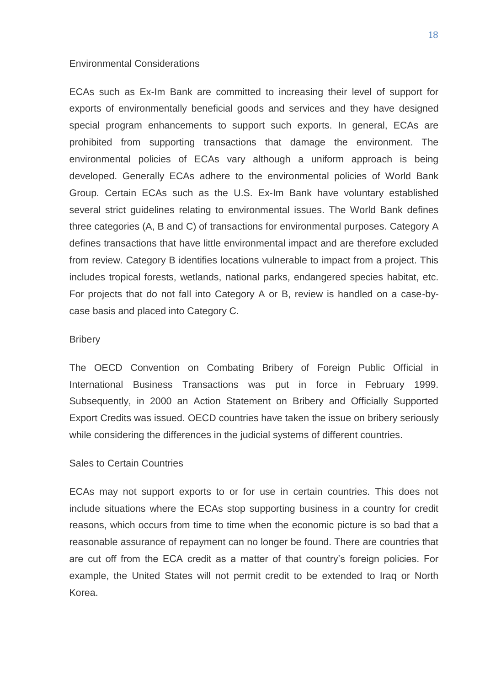#### Environmental Considerations

ECAs such as Ex-Im Bank are committed to increasing their level of support for exports of environmentally beneficial goods and services and they have designed special program enhancements to support such exports. In general, ECAs are prohibited from supporting transactions that damage the environment. The environmental policies of ECAs vary although a uniform approach is being developed. Generally ECAs adhere to the environmental policies of World Bank Group. Certain ECAs such as the U.S. Ex-Im Bank have voluntary established several strict guidelines relating to environmental issues. The World Bank defines three categories (A, B and C) of transactions for environmental purposes. Category A defines transactions that have little environmental impact and are therefore excluded from review. Category B identifies locations vulnerable to impact from a project. This includes tropical forests, wetlands, national parks, endangered species habitat, etc. For projects that do not fall into Category A or B, review is handled on a case-bycase basis and placed into Category C.

#### **Bribery**

The OECD Convention on Combating Bribery of Foreign Public Official in International Business Transactions was put in force in February 1999. Subsequently, in 2000 an Action Statement on Bribery and Officially Supported Export Credits was issued. OECD countries have taken the issue on bribery seriously while considering the differences in the judicial systems of different countries.

# Sales to Certain Countries

ECAs may not support exports to or for use in certain countries. This does not include situations where the ECAs stop supporting business in a country for credit reasons, which occurs from time to time when the economic picture is so bad that a reasonable assurance of repayment can no longer be found. There are countries that are cut off from the ECA credit as a matter of that country's foreign policies. For example, the United States will not permit credit to be extended to Iraq or North Korea.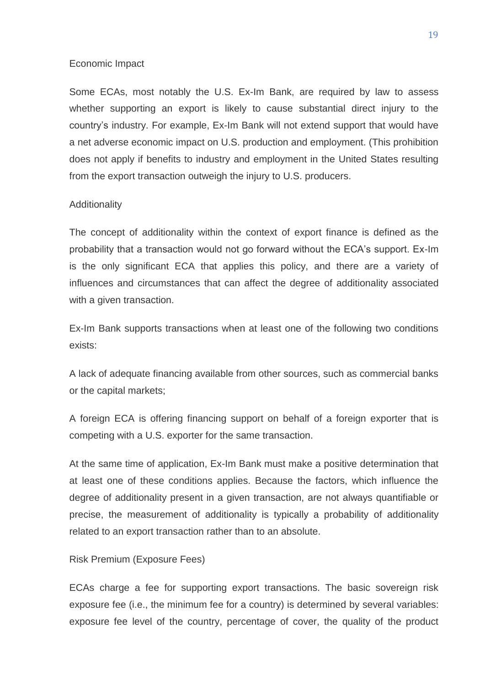# Economic Impact

Some ECAs, most notably the U.S. Ex-Im Bank, are required by law to assess whether supporting an export is likely to cause substantial direct injury to the country's industry. For example, Ex-Im Bank will not extend support that would have a net adverse economic impact on U.S. production and employment. (This prohibition does not apply if benefits to industry and employment in the United States resulting from the export transaction outweigh the injury to U.S. producers.

# Additionality

The concept of additionality within the context of export finance is defined as the probability that a transaction would not go forward without the ECA's support. Ex-Im is the only significant ECA that applies this policy, and there are a variety of influences and circumstances that can affect the degree of additionality associated with a given transaction.

Ex-Im Bank supports transactions when at least one of the following two conditions exists:

A lack of adequate financing available from other sources, such as commercial banks or the capital markets;

A foreign ECA is offering financing support on behalf of a foreign exporter that is competing with a U.S. exporter for the same transaction.

At the same time of application, Ex-Im Bank must make a positive determination that at least one of these conditions applies. Because the factors, which influence the degree of additionality present in a given transaction, are not always quantifiable or precise, the measurement of additionality is typically a probability of additionality related to an export transaction rather than to an absolute.

Risk Premium (Exposure Fees)

ECAs charge a fee for supporting export transactions. The basic sovereign risk exposure fee (i.e., the minimum fee for a country) is determined by several variables: exposure fee level of the country, percentage of cover, the quality of the product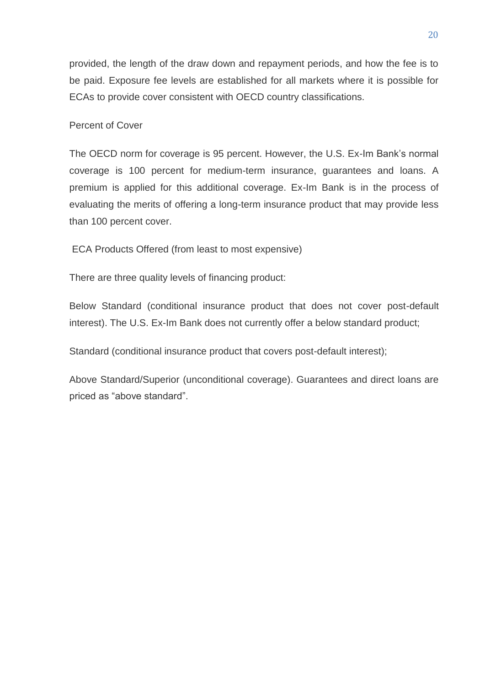provided, the length of the draw down and repayment periods, and how the fee is to be paid. Exposure fee levels are established for all markets where it is possible for ECAs to provide cover consistent with OECD country classifications.

# Percent of Cover

The OECD norm for coverage is 95 percent. However, the U.S. Ex-Im Bank's normal coverage is 100 percent for medium-term insurance, guarantees and loans. A premium is applied for this additional coverage. Ex-Im Bank is in the process of evaluating the merits of offering a long-term insurance product that may provide less than 100 percent cover.

ECA Products Offered (from least to most expensive)

There are three quality levels of financing product:

Below Standard (conditional insurance product that does not cover post-default interest). The U.S. Ex-Im Bank does not currently offer a below standard product;

Standard (conditional insurance product that covers post-default interest);

Above Standard/Superior (unconditional coverage). Guarantees and direct loans are priced as "above standard".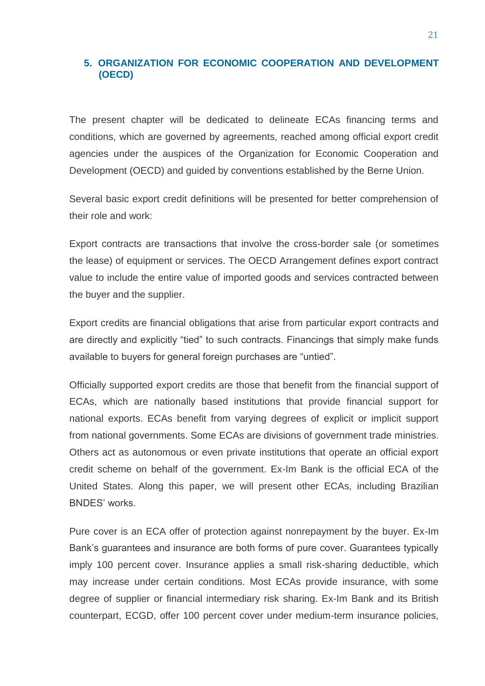# **5. ORGANIZATION FOR ECONOMIC COOPERATION AND DEVELOPMENT (OECD)**

The present chapter will be dedicated to delineate ECAs financing terms and conditions, which are governed by agreements, reached among official export credit agencies under the auspices of the Organization for Economic Cooperation and Development (OECD) and guided by conventions established by the Berne Union.

Several basic export credit definitions will be presented for better comprehension of their role and work:

Export contracts are transactions that involve the cross-border sale (or sometimes the lease) of equipment or services. The OECD Arrangement defines export contract value to include the entire value of imported goods and services contracted between the buyer and the supplier.

Export credits are financial obligations that arise from particular export contracts and are directly and explicitly "tied" to such contracts. Financings that simply make funds available to buyers for general foreign purchases are "untied".

Officially supported export credits are those that benefit from the financial support of ECAs, which are nationally based institutions that provide financial support for national exports. ECAs benefit from varying degrees of explicit or implicit support from national governments. Some ECAs are divisions of government trade ministries. Others act as autonomous or even private institutions that operate an official export credit scheme on behalf of the government. Ex-Im Bank is the official ECA of the United States. Along this paper, we will present other ECAs, including Brazilian BNDES' works.

Pure cover is an ECA offer of protection against nonrepayment by the buyer. Ex-Im Bank's guarantees and insurance are both forms of pure cover. Guarantees typically imply 100 percent cover. Insurance applies a small risk-sharing deductible, which may increase under certain conditions. Most ECAs provide insurance, with some degree of supplier or financial intermediary risk sharing. Ex-Im Bank and its British counterpart, ECGD, offer 100 percent cover under medium-term insurance policies,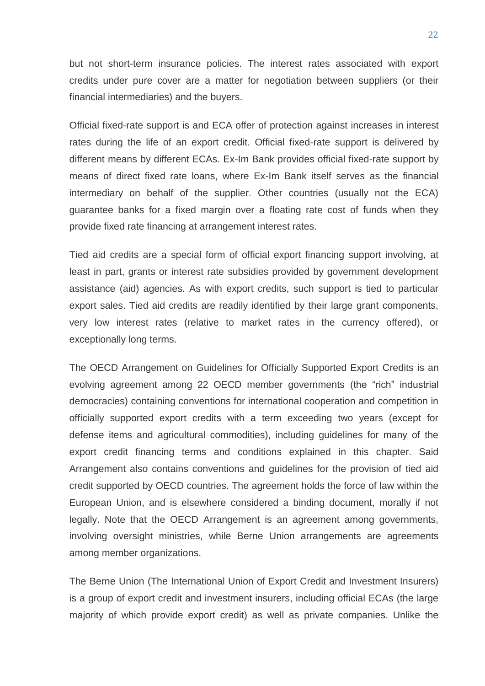but not short-term insurance policies. The interest rates associated with export credits under pure cover are a matter for negotiation between suppliers (or their financial intermediaries) and the buyers.

Official fixed-rate support is and ECA offer of protection against increases in interest rates during the life of an export credit. Official fixed-rate support is delivered by different means by different ECAs. Ex-Im Bank provides official fixed-rate support by means of direct fixed rate loans, where Ex-Im Bank itself serves as the financial intermediary on behalf of the supplier. Other countries (usually not the ECA) guarantee banks for a fixed margin over a floating rate cost of funds when they provide fixed rate financing at arrangement interest rates.

Tied aid credits are a special form of official export financing support involving, at least in part, grants or interest rate subsidies provided by government development assistance (aid) agencies. As with export credits, such support is tied to particular export sales. Tied aid credits are readily identified by their large grant components, very low interest rates (relative to market rates in the currency offered), or exceptionally long terms.

The OECD Arrangement on Guidelines for Officially Supported Export Credits is an evolving agreement among 22 OECD member governments (the "rich" industrial democracies) containing conventions for international cooperation and competition in officially supported export credits with a term exceeding two years (except for defense items and agricultural commodities), including guidelines for many of the export credit financing terms and conditions explained in this chapter. Said Arrangement also contains conventions and guidelines for the provision of tied aid credit supported by OECD countries. The agreement holds the force of law within the European Union, and is elsewhere considered a binding document, morally if not legally. Note that the OECD Arrangement is an agreement among governments, involving oversight ministries, while Berne Union arrangements are agreements among member organizations.

The Berne Union (The International Union of Export Credit and Investment Insurers) is a group of export credit and investment insurers, including official ECAs (the large majority of which provide export credit) as well as private companies. Unlike the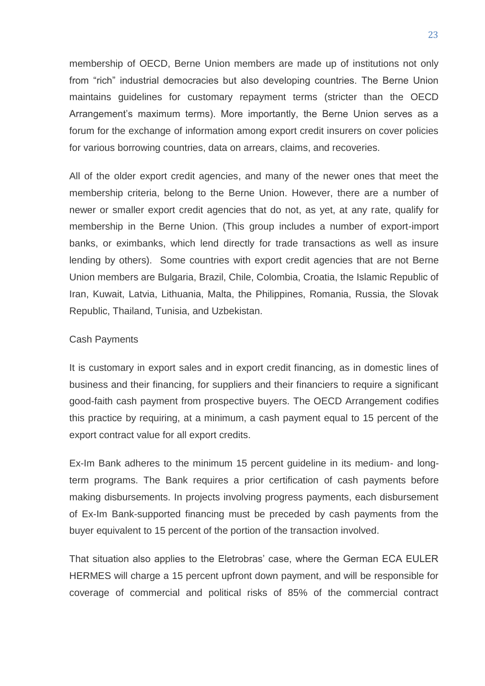membership of OECD, Berne Union members are made up of institutions not only from "rich" industrial democracies but also developing countries. The Berne Union maintains guidelines for customary repayment terms (stricter than the OECD Arrangement's maximum terms). More importantly, the Berne Union serves as a forum for the exchange of information among export credit insurers on cover policies for various borrowing countries, data on arrears, claims, and recoveries.

All of the older export credit agencies, and many of the newer ones that meet the membership criteria, belong to the Berne Union. However, there are a number of newer or smaller export credit agencies that do not, as yet, at any rate, qualify for membership in the Berne Union. (This group includes a number of export-import banks, or eximbanks, which lend directly for trade transactions as well as insure lending by others). Some countries with export credit agencies that are not Berne Union members are Bulgaria, Brazil, Chile, Colombia, Croatia, the Islamic Republic of Iran, Kuwait, Latvia, Lithuania, Malta, the Philippines, Romania, Russia, the Slovak Republic, Thailand, Tunisia, and Uzbekistan.

# Cash Payments

It is customary in export sales and in export credit financing, as in domestic lines of business and their financing, for suppliers and their financiers to require a significant good-faith cash payment from prospective buyers. The OECD Arrangement codifies this practice by requiring, at a minimum, a cash payment equal to 15 percent of the export contract value for all export credits.

Ex-Im Bank adheres to the minimum 15 percent guideline in its medium- and longterm programs. The Bank requires a prior certification of cash payments before making disbursements. In projects involving progress payments, each disbursement of Ex-Im Bank-supported financing must be preceded by cash payments from the buyer equivalent to 15 percent of the portion of the transaction involved.

That situation also applies to the Eletrobras' case, where the German ECA EULER HERMES will charge a 15 percent upfront down payment, and will be responsible for coverage of commercial and political risks of 85% of the commercial contract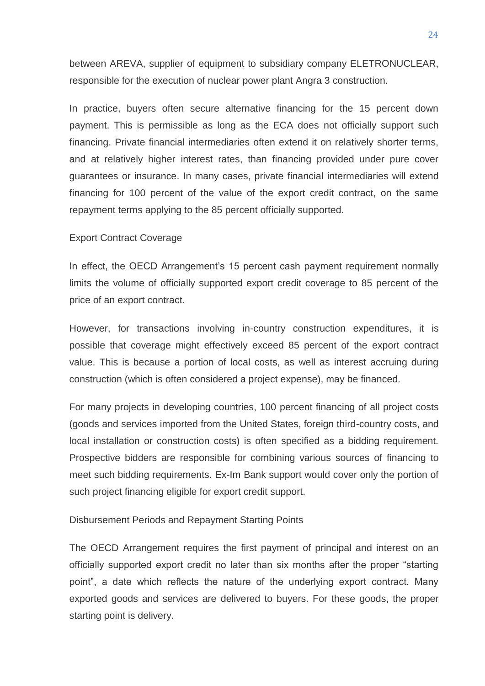between AREVA, supplier of equipment to subsidiary company ELETRONUCLEAR, responsible for the execution of nuclear power plant Angra 3 construction.

In practice, buyers often secure alternative financing for the 15 percent down payment. This is permissible as long as the ECA does not officially support such financing. Private financial intermediaries often extend it on relatively shorter terms, and at relatively higher interest rates, than financing provided under pure cover guarantees or insurance. In many cases, private financial intermediaries will extend financing for 100 percent of the value of the export credit contract, on the same repayment terms applying to the 85 percent officially supported.

# Export Contract Coverage

In effect, the OECD Arrangement's 15 percent cash payment requirement normally limits the volume of officially supported export credit coverage to 85 percent of the price of an export contract.

However, for transactions involving in-country construction expenditures, it is possible that coverage might effectively exceed 85 percent of the export contract value. This is because a portion of local costs, as well as interest accruing during construction (which is often considered a project expense), may be financed.

For many projects in developing countries, 100 percent financing of all project costs (goods and services imported from the United States, foreign third-country costs, and local installation or construction costs) is often specified as a bidding requirement. Prospective bidders are responsible for combining various sources of financing to meet such bidding requirements. Ex-Im Bank support would cover only the portion of such project financing eligible for export credit support.

Disbursement Periods and Repayment Starting Points

The OECD Arrangement requires the first payment of principal and interest on an officially supported export credit no later than six months after the proper "starting point", a date which reflects the nature of the underlying export contract. Many exported goods and services are delivered to buyers. For these goods, the proper starting point is delivery.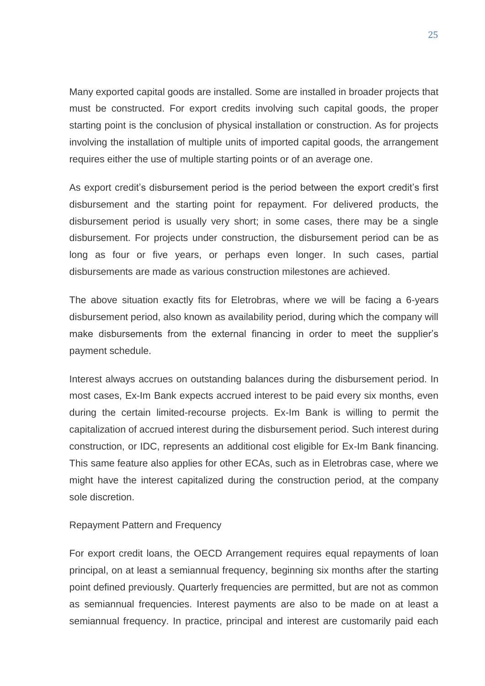Many exported capital goods are installed. Some are installed in broader projects that must be constructed. For export credits involving such capital goods, the proper starting point is the conclusion of physical installation or construction. As for projects involving the installation of multiple units of imported capital goods, the arrangement requires either the use of multiple starting points or of an average one.

As export credit's disbursement period is the period between the export credit's first disbursement and the starting point for repayment. For delivered products, the disbursement period is usually very short; in some cases, there may be a single disbursement. For projects under construction, the disbursement period can be as long as four or five years, or perhaps even longer. In such cases, partial disbursements are made as various construction milestones are achieved.

The above situation exactly fits for Eletrobras, where we will be facing a 6-years disbursement period, also known as availability period, during which the company will make disbursements from the external financing in order to meet the supplier's payment schedule.

Interest always accrues on outstanding balances during the disbursement period. In most cases, Ex-Im Bank expects accrued interest to be paid every six months, even during the certain limited-recourse projects. Ex-Im Bank is willing to permit the capitalization of accrued interest during the disbursement period. Such interest during construction, or IDC, represents an additional cost eligible for Ex-Im Bank financing. This same feature also applies for other ECAs, such as in Eletrobras case, where we might have the interest capitalized during the construction period, at the company sole discretion.

# Repayment Pattern and Frequency

For export credit loans, the OECD Arrangement requires equal repayments of loan principal, on at least a semiannual frequency, beginning six months after the starting point defined previously. Quarterly frequencies are permitted, but are not as common as semiannual frequencies. Interest payments are also to be made on at least a semiannual frequency. In practice, principal and interest are customarily paid each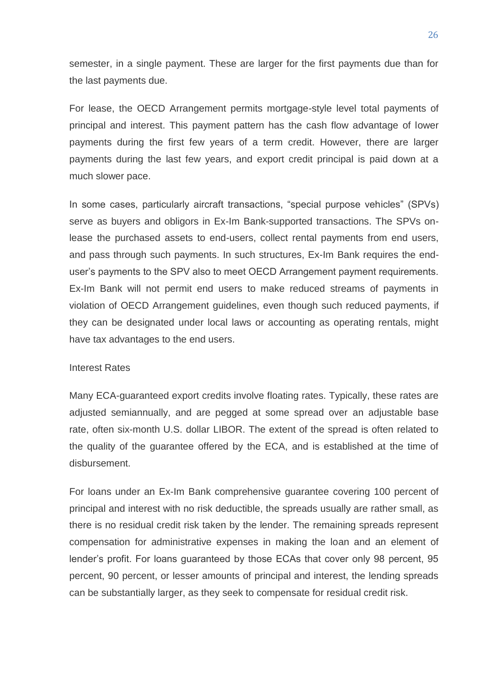semester, in a single payment. These are larger for the first payments due than for the last payments due.

For lease, the OECD Arrangement permits mortgage-style level total payments of principal and interest. This payment pattern has the cash flow advantage of lower payments during the first few years of a term credit. However, there are larger payments during the last few years, and export credit principal is paid down at a much slower pace.

In some cases, particularly aircraft transactions, "special purpose vehicles" (SPVs) serve as buyers and obligors in Ex-Im Bank-supported transactions. The SPVs onlease the purchased assets to end-users, collect rental payments from end users, and pass through such payments. In such structures, Ex-Im Bank requires the enduser's payments to the SPV also to meet OECD Arrangement payment requirements. Ex-Im Bank will not permit end users to make reduced streams of payments in violation of OECD Arrangement guidelines, even though such reduced payments, if they can be designated under local laws or accounting as operating rentals, might have tax advantages to the end users.

# Interest Rates

Many ECA-guaranteed export credits involve floating rates. Typically, these rates are adjusted semiannually, and are pegged at some spread over an adjustable base rate, often six-month U.S. dollar LIBOR. The extent of the spread is often related to the quality of the guarantee offered by the ECA, and is established at the time of disbursement.

For loans under an Ex-Im Bank comprehensive guarantee covering 100 percent of principal and interest with no risk deductible, the spreads usually are rather small, as there is no residual credit risk taken by the lender. The remaining spreads represent compensation for administrative expenses in making the loan and an element of lender's profit. For loans guaranteed by those ECAs that cover only 98 percent, 95 percent, 90 percent, or lesser amounts of principal and interest, the lending spreads can be substantially larger, as they seek to compensate for residual credit risk.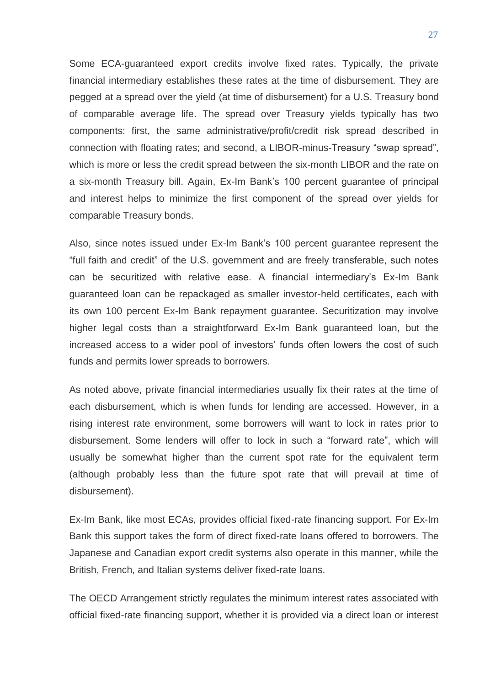Some ECA-guaranteed export credits involve fixed rates. Typically, the private financial intermediary establishes these rates at the time of disbursement. They are pegged at a spread over the yield (at time of disbursement) for a U.S. Treasury bond of comparable average life. The spread over Treasury yields typically has two components: first, the same administrative/profit/credit risk spread described in connection with floating rates; and second, a LIBOR-minus-Treasury "swap spread", which is more or less the credit spread between the six-month LIBOR and the rate on a six-month Treasury bill. Again, Ex-Im Bank's 100 percent guarantee of principal and interest helps to minimize the first component of the spread over yields for comparable Treasury bonds.

Also, since notes issued under Ex-Im Bank's 100 percent guarantee represent the "full faith and credit" of the U.S. government and are freely transferable, such notes can be securitized with relative ease. A financial intermediary's Ex-Im Bank guaranteed loan can be repackaged as smaller investor-held certificates, each with its own 100 percent Ex-Im Bank repayment guarantee. Securitization may involve higher legal costs than a straightforward Ex-Im Bank guaranteed loan, but the increased access to a wider pool of investors' funds often lowers the cost of such funds and permits lower spreads to borrowers.

As noted above, private financial intermediaries usually fix their rates at the time of each disbursement, which is when funds for lending are accessed. However, in a rising interest rate environment, some borrowers will want to lock in rates prior to disbursement. Some lenders will offer to lock in such a "forward rate", which will usually be somewhat higher than the current spot rate for the equivalent term (although probably less than the future spot rate that will prevail at time of disbursement).

Ex-Im Bank, like most ECAs, provides official fixed-rate financing support. For Ex-Im Bank this support takes the form of direct fixed-rate loans offered to borrowers. The Japanese and Canadian export credit systems also operate in this manner, while the British, French, and Italian systems deliver fixed-rate loans.

The OECD Arrangement strictly regulates the minimum interest rates associated with official fixed-rate financing support, whether it is provided via a direct loan or interest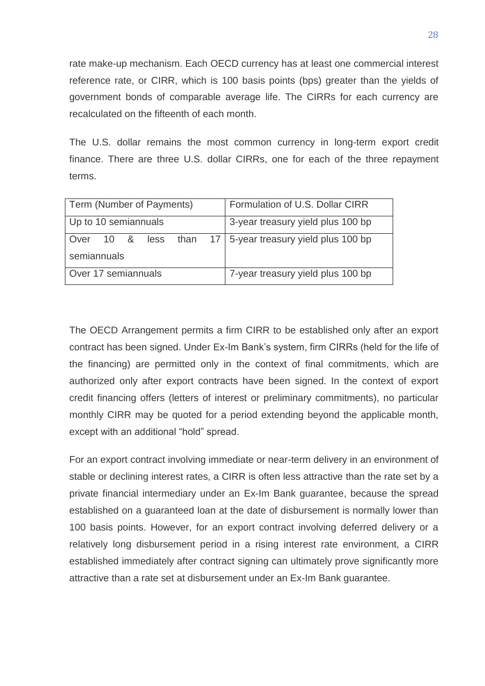rate make-up mechanism. Each OECD currency has at least one commercial interest reference rate, or CIRR, which is 100 basis points (bps) greater than the yields of government bonds of comparable average life. The CIRRs for each currency are recalculated on the fifteenth of each month.

The U.S. dollar remains the most common currency in long-term export credit finance. There are three U.S. dollar CIRRs, one for each of the three repayment terms.

| Term (Number of Payments) |             |  |           | Formulation of U.S. Dollar CIRR   |                                   |
|---------------------------|-------------|--|-----------|-----------------------------------|-----------------------------------|
| Up to 10 semiannuals      |             |  |           | 3-year treasury yield plus 100 bp |                                   |
| Over                      | $10 \alpha$ |  | less than | 17                                | 5-year treasury yield plus 100 bp |
| semiannuals               |             |  |           |                                   |                                   |
| Over 17 semiannuals       |             |  |           |                                   | 7-year treasury yield plus 100 bp |

The OECD Arrangement permits a firm CIRR to be established only after an export contract has been signed. Under Ex-Im Bank's system, firm CIRRs (held for the life of the financing) are permitted only in the context of final commitments, which are authorized only after export contracts have been signed. In the context of export credit financing offers (letters of interest or preliminary commitments), no particular monthly CIRR may be quoted for a period extending beyond the applicable month, except with an additional "hold" spread.

For an export contract involving immediate or near-term delivery in an environment of stable or declining interest rates, a CIRR is often less attractive than the rate set by a private financial intermediary under an Ex-Im Bank guarantee, because the spread established on a guaranteed loan at the date of disbursement is normally lower than 100 basis points. However, for an export contract involving deferred delivery or a relatively long disbursement period in a rising interest rate environment, a CIRR established immediately after contract signing can ultimately prove significantly more attractive than a rate set at disbursement under an Ex-Im Bank guarantee.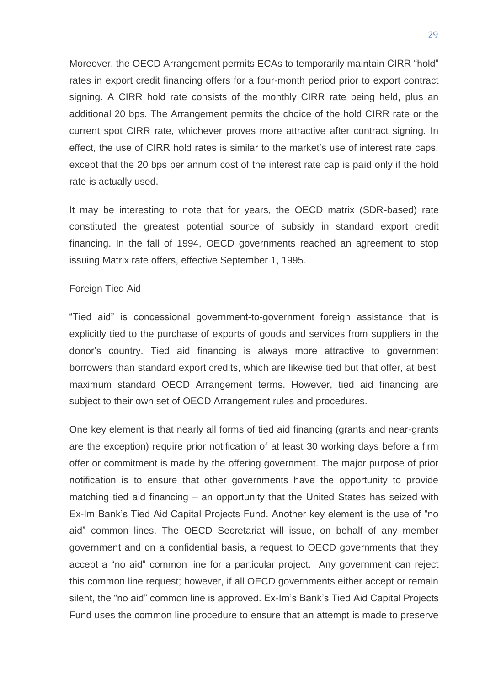Moreover, the OECD Arrangement permits ECAs to temporarily maintain CIRR "hold" rates in export credit financing offers for a four-month period prior to export contract signing. A CIRR hold rate consists of the monthly CIRR rate being held, plus an additional 20 bps. The Arrangement permits the choice of the hold CIRR rate or the current spot CIRR rate, whichever proves more attractive after contract signing. In effect, the use of CIRR hold rates is similar to the market's use of interest rate caps, except that the 20 bps per annum cost of the interest rate cap is paid only if the hold rate is actually used.

It may be interesting to note that for years, the OECD matrix (SDR-based) rate constituted the greatest potential source of subsidy in standard export credit financing. In the fall of 1994, OECD governments reached an agreement to stop issuing Matrix rate offers, effective September 1, 1995.

# Foreign Tied Aid

"Tied aid" is concessional government-to-government foreign assistance that is explicitly tied to the purchase of exports of goods and services from suppliers in the donor's country. Tied aid financing is always more attractive to government borrowers than standard export credits, which are likewise tied but that offer, at best, maximum standard OECD Arrangement terms. However, tied aid financing are subject to their own set of OECD Arrangement rules and procedures.

One key element is that nearly all forms of tied aid financing (grants and near-grants are the exception) require prior notification of at least 30 working days before a firm offer or commitment is made by the offering government. The major purpose of prior notification is to ensure that other governments have the opportunity to provide matching tied aid financing – an opportunity that the United States has seized with Ex-Im Bank's Tied Aid Capital Projects Fund. Another key element is the use of "no aid" common lines. The OECD Secretariat will issue, on behalf of any member government and on a confidential basis, a request to OECD governments that they accept a "no aid" common line for a particular project. Any government can reject this common line request; however, if all OECD governments either accept or remain silent, the "no aid" common line is approved. Ex-Im's Bank's Tied Aid Capital Projects Fund uses the common line procedure to ensure that an attempt is made to preserve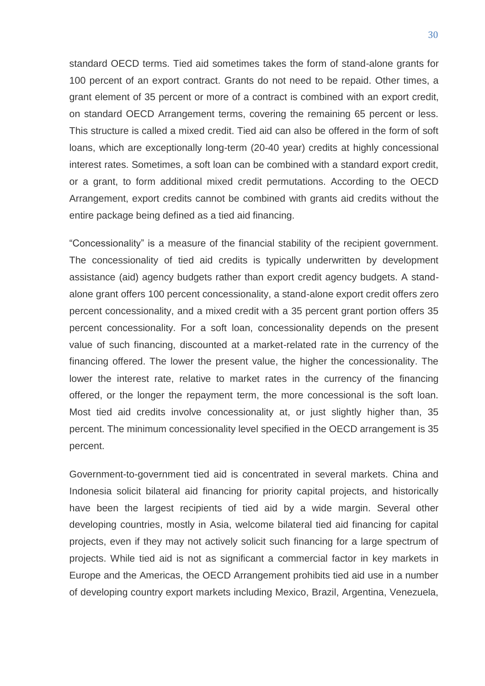standard OECD terms. Tied aid sometimes takes the form of stand-alone grants for 100 percent of an export contract. Grants do not need to be repaid. Other times, a grant element of 35 percent or more of a contract is combined with an export credit, on standard OECD Arrangement terms, covering the remaining 65 percent or less. This structure is called a mixed credit. Tied aid can also be offered in the form of soft loans, which are exceptionally long-term (20-40 year) credits at highly concessional interest rates. Sometimes, a soft loan can be combined with a standard export credit, or a grant, to form additional mixed credit permutations. According to the OECD Arrangement, export credits cannot be combined with grants aid credits without the entire package being defined as a tied aid financing.

"Concessionality" is a measure of the financial stability of the recipient government. The concessionality of tied aid credits is typically underwritten by development assistance (aid) agency budgets rather than export credit agency budgets. A standalone grant offers 100 percent concessionality, a stand-alone export credit offers zero percent concessionality, and a mixed credit with a 35 percent grant portion offers 35 percent concessionality. For a soft loan, concessionality depends on the present value of such financing, discounted at a market-related rate in the currency of the financing offered. The lower the present value, the higher the concessionality. The lower the interest rate, relative to market rates in the currency of the financing offered, or the longer the repayment term, the more concessional is the soft loan. Most tied aid credits involve concessionality at, or just slightly higher than, 35 percent. The minimum concessionality level specified in the OECD arrangement is 35 percent.

Government-to-government tied aid is concentrated in several markets. China and Indonesia solicit bilateral aid financing for priority capital projects, and historically have been the largest recipients of tied aid by a wide margin. Several other developing countries, mostly in Asia, welcome bilateral tied aid financing for capital projects, even if they may not actively solicit such financing for a large spectrum of projects. While tied aid is not as significant a commercial factor in key markets in Europe and the Americas, the OECD Arrangement prohibits tied aid use in a number of developing country export markets including Mexico, Brazil, Argentina, Venezuela,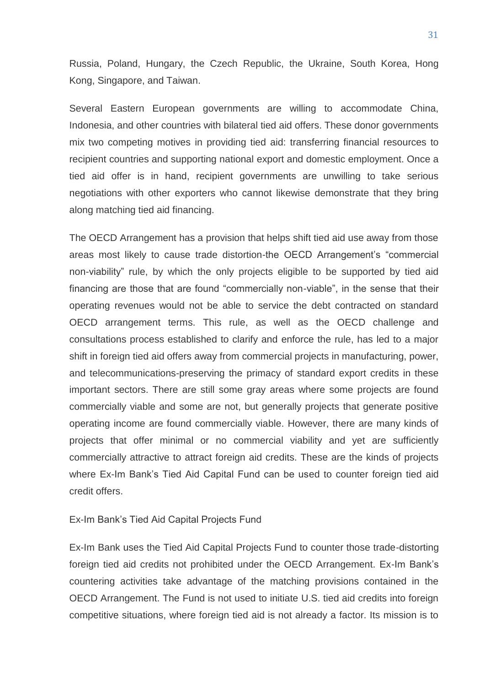Russia, Poland, Hungary, the Czech Republic, the Ukraine, South Korea, Hong Kong, Singapore, and Taiwan.

Several Eastern European governments are willing to accommodate China, Indonesia, and other countries with bilateral tied aid offers. These donor governments mix two competing motives in providing tied aid: transferring financial resources to recipient countries and supporting national export and domestic employment. Once a tied aid offer is in hand, recipient governments are unwilling to take serious negotiations with other exporters who cannot likewise demonstrate that they bring along matching tied aid financing.

The OECD Arrangement has a provision that helps shift tied aid use away from those areas most likely to cause trade distortion-the OECD Arrangement's "commercial non-viability" rule, by which the only projects eligible to be supported by tied aid financing are those that are found "commercially non-viable", in the sense that their operating revenues would not be able to service the debt contracted on standard OECD arrangement terms. This rule, as well as the OECD challenge and consultations process established to clarify and enforce the rule, has led to a major shift in foreign tied aid offers away from commercial projects in manufacturing, power, and telecommunications-preserving the primacy of standard export credits in these important sectors. There are still some gray areas where some projects are found commercially viable and some are not, but generally projects that generate positive operating income are found commercially viable. However, there are many kinds of projects that offer minimal or no commercial viability and yet are sufficiently commercially attractive to attract foreign aid credits. These are the kinds of projects where Ex-Im Bank's Tied Aid Capital Fund can be used to counter foreign tied aid credit offers.

#### Ex-Im Bank's Tied Aid Capital Projects Fund

Ex-Im Bank uses the Tied Aid Capital Projects Fund to counter those trade-distorting foreign tied aid credits not prohibited under the OECD Arrangement. Ex-Im Bank's countering activities take advantage of the matching provisions contained in the OECD Arrangement. The Fund is not used to initiate U.S. tied aid credits into foreign competitive situations, where foreign tied aid is not already a factor. Its mission is to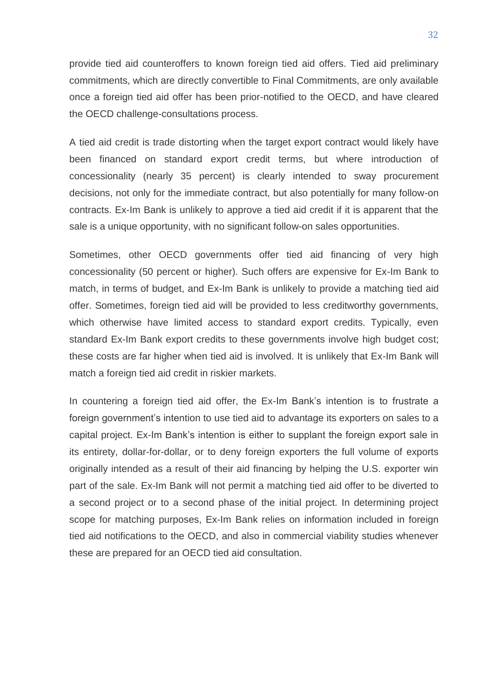provide tied aid counteroffers to known foreign tied aid offers. Tied aid preliminary commitments, which are directly convertible to Final Commitments, are only available once a foreign tied aid offer has been prior-notified to the OECD, and have cleared the OECD challenge-consultations process.

A tied aid credit is trade distorting when the target export contract would likely have been financed on standard export credit terms, but where introduction of concessionality (nearly 35 percent) is clearly intended to sway procurement decisions, not only for the immediate contract, but also potentially for many follow-on contracts. Ex-Im Bank is unlikely to approve a tied aid credit if it is apparent that the sale is a unique opportunity, with no significant follow-on sales opportunities.

Sometimes, other OECD governments offer tied aid financing of very high concessionality (50 percent or higher). Such offers are expensive for Ex-Im Bank to match, in terms of budget, and Ex-Im Bank is unlikely to provide a matching tied aid offer. Sometimes, foreign tied aid will be provided to less creditworthy governments, which otherwise have limited access to standard export credits. Typically, even standard Ex-Im Bank export credits to these governments involve high budget cost; these costs are far higher when tied aid is involved. It is unlikely that Ex-Im Bank will match a foreign tied aid credit in riskier markets.

In countering a foreign tied aid offer, the Ex-Im Bank's intention is to frustrate a foreign government's intention to use tied aid to advantage its exporters on sales to a capital project. Ex-Im Bank's intention is either to supplant the foreign export sale in its entirety, dollar-for-dollar, or to deny foreign exporters the full volume of exports originally intended as a result of their aid financing by helping the U.S. exporter win part of the sale. Ex-Im Bank will not permit a matching tied aid offer to be diverted to a second project or to a second phase of the initial project. In determining project scope for matching purposes, Ex-Im Bank relies on information included in foreign tied aid notifications to the OECD, and also in commercial viability studies whenever these are prepared for an OECD tied aid consultation.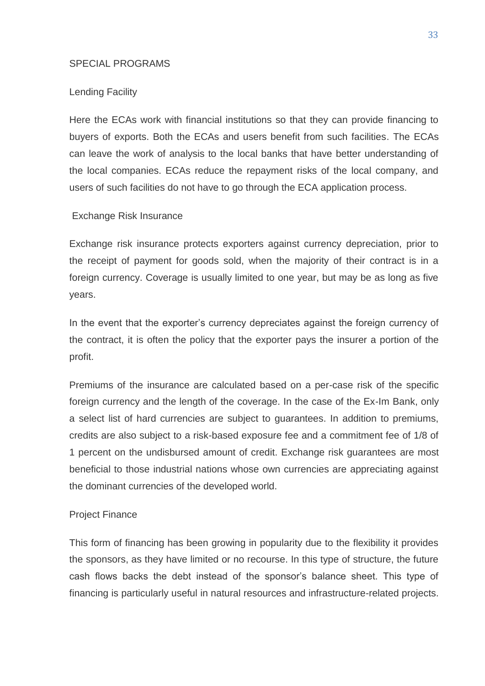### SPECIAL PROGRAMS

### Lending Facility

Here the ECAs work with financial institutions so that they can provide financing to buyers of exports. Both the ECAs and users benefit from such facilities. The ECAs can leave the work of analysis to the local banks that have better understanding of the local companies. ECAs reduce the repayment risks of the local company, and users of such facilities do not have to go through the ECA application process.

#### Exchange Risk Insurance

Exchange risk insurance protects exporters against currency depreciation, prior to the receipt of payment for goods sold, when the majority of their contract is in a foreign currency. Coverage is usually limited to one year, but may be as long as five years.

In the event that the exporter's currency depreciates against the foreign currency of the contract, it is often the policy that the exporter pays the insurer a portion of the profit.

Premiums of the insurance are calculated based on a per-case risk of the specific foreign currency and the length of the coverage. In the case of the Ex-Im Bank, only a select list of hard currencies are subject to guarantees. In addition to premiums, credits are also subject to a risk-based exposure fee and a commitment fee of 1/8 of 1 percent on the undisbursed amount of credit. Exchange risk guarantees are most beneficial to those industrial nations whose own currencies are appreciating against the dominant currencies of the developed world.

#### Project Finance

This form of financing has been growing in popularity due to the flexibility it provides the sponsors, as they have limited or no recourse. In this type of structure, the future cash flows backs the debt instead of the sponsor's balance sheet. This type of financing is particularly useful in natural resources and infrastructure-related projects.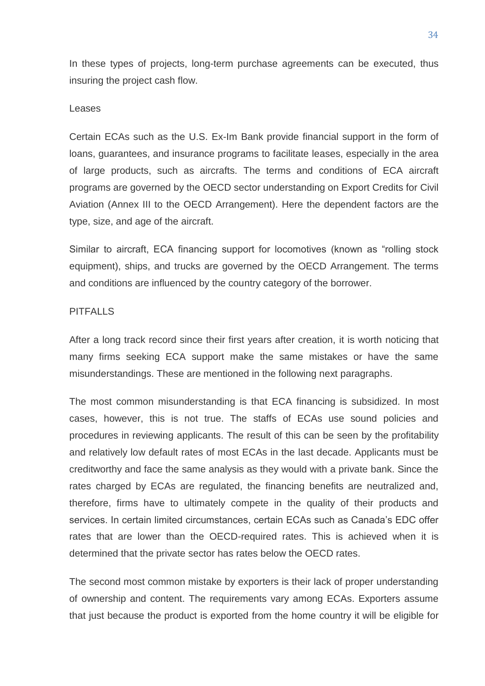In these types of projects, long-term purchase agreements can be executed, thus insuring the project cash flow.

# Leases

Certain ECAs such as the U.S. Ex-Im Bank provide financial support in the form of loans, guarantees, and insurance programs to facilitate leases, especially in the area of large products, such as aircrafts. The terms and conditions of ECA aircraft programs are governed by the OECD sector understanding on Export Credits for Civil Aviation (Annex III to the OECD Arrangement). Here the dependent factors are the type, size, and age of the aircraft.

Similar to aircraft, ECA financing support for locomotives (known as "rolling stock equipment), ships, and trucks are governed by the OECD Arrangement. The terms and conditions are influenced by the country category of the borrower.

# PITFALLS

After a long track record since their first years after creation, it is worth noticing that many firms seeking ECA support make the same mistakes or have the same misunderstandings. These are mentioned in the following next paragraphs.

The most common misunderstanding is that ECA financing is subsidized. In most cases, however, this is not true. The staffs of ECAs use sound policies and procedures in reviewing applicants. The result of this can be seen by the profitability and relatively low default rates of most ECAs in the last decade. Applicants must be creditworthy and face the same analysis as they would with a private bank. Since the rates charged by ECAs are regulated, the financing benefits are neutralized and, therefore, firms have to ultimately compete in the quality of their products and services. In certain limited circumstances, certain ECAs such as Canada's EDC offer rates that are lower than the OECD-required rates. This is achieved when it is determined that the private sector has rates below the OECD rates.

The second most common mistake by exporters is their lack of proper understanding of ownership and content. The requirements vary among ECAs. Exporters assume that just because the product is exported from the home country it will be eligible for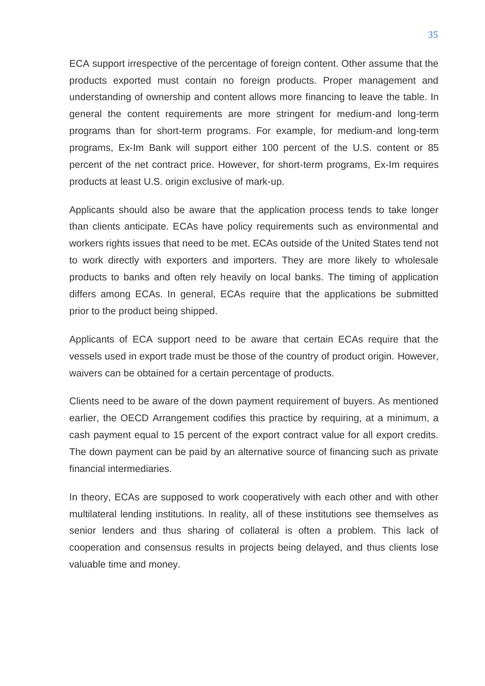ECA support irrespective of the percentage of foreign content. Other assume that the products exported must contain no foreign products. Proper management and understanding of ownership and content allows more financing to leave the table. In general the content requirements are more stringent for medium-and long-term programs than for short-term programs. For example, for medium-and long-term programs, Ex-Im Bank will support either 100 percent of the U.S. content or 85 percent of the net contract price. However, for short-term programs, Ex-Im requires products at least U.S. origin exclusive of mark-up.

Applicants should also be aware that the application process tends to take longer than clients anticipate. ECAs have policy requirements such as environmental and workers rights issues that need to be met. ECAs outside of the United States tend not to work directly with exporters and importers. They are more likely to wholesale products to banks and often rely heavily on local banks. The timing of application differs among ECAs. In general, ECAs require that the applications be submitted prior to the product being shipped.

Applicants of ECA support need to be aware that certain ECAs require that the vessels used in export trade must be those of the country of product origin. However, waivers can be obtained for a certain percentage of products.

Clients need to be aware of the down payment requirement of buyers. As mentioned earlier, the OECD Arrangement codifies this practice by requiring, at a minimum, a cash payment equal to 15 percent of the export contract value for all export credits. The down payment can be paid by an alternative source of financing such as private financial intermediaries.

In theory, ECAs are supposed to work cooperatively with each other and with other multilateral lending institutions. In reality, all of these institutions see themselves as senior lenders and thus sharing of collateral is often a problem. This lack of cooperation and consensus results in projects being delayed, and thus clients lose valuable time and money.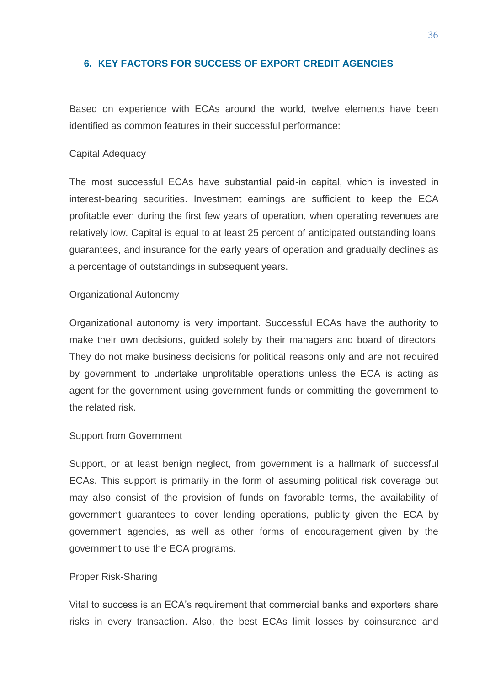# **6. KEY FACTORS FOR SUCCESS OF EXPORT CREDIT AGENCIES**

Based on experience with ECAs around the world, twelve elements have been identified as common features in their successful performance:

# Capital Adequacy

The most successful ECAs have substantial paid-in capital, which is invested in interest-bearing securities. Investment earnings are sufficient to keep the ECA profitable even during the first few years of operation, when operating revenues are relatively low. Capital is equal to at least 25 percent of anticipated outstanding loans, guarantees, and insurance for the early years of operation and gradually declines as a percentage of outstandings in subsequent years.

# Organizational Autonomy

Organizational autonomy is very important. Successful ECAs have the authority to make their own decisions, guided solely by their managers and board of directors. They do not make business decisions for political reasons only and are not required by government to undertake unprofitable operations unless the ECA is acting as agent for the government using government funds or committing the government to the related risk.

# Support from Government

Support, or at least benign neglect, from government is a hallmark of successful ECAs. This support is primarily in the form of assuming political risk coverage but may also consist of the provision of funds on favorable terms, the availability of government guarantees to cover lending operations, publicity given the ECA by government agencies, as well as other forms of encouragement given by the government to use the ECA programs.

# Proper Risk-Sharing

Vital to success is an ECA's requirement that commercial banks and exporters share risks in every transaction. Also, the best ECAs limit losses by coinsurance and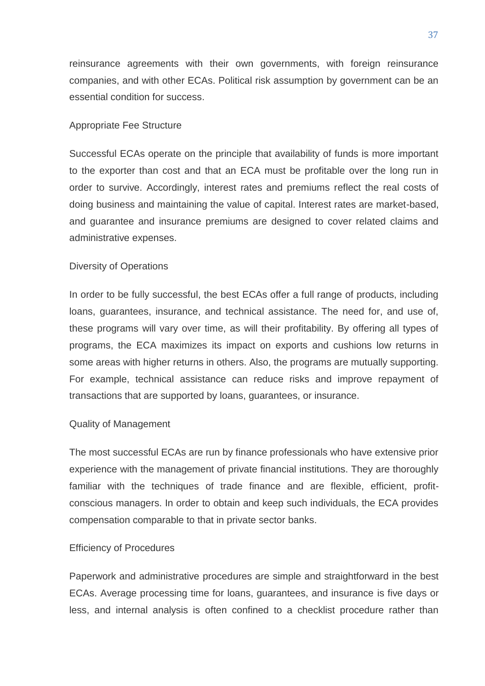reinsurance agreements with their own governments, with foreign reinsurance companies, and with other ECAs. Political risk assumption by government can be an essential condition for success.

# Appropriate Fee Structure

Successful ECAs operate on the principle that availability of funds is more important to the exporter than cost and that an ECA must be profitable over the long run in order to survive. Accordingly, interest rates and premiums reflect the real costs of doing business and maintaining the value of capital. Interest rates are market-based, and guarantee and insurance premiums are designed to cover related claims and administrative expenses.

# Diversity of Operations

In order to be fully successful, the best ECAs offer a full range of products, including loans, guarantees, insurance, and technical assistance. The need for, and use of, these programs will vary over time, as will their profitability. By offering all types of programs, the ECA maximizes its impact on exports and cushions low returns in some areas with higher returns in others. Also, the programs are mutually supporting. For example, technical assistance can reduce risks and improve repayment of transactions that are supported by loans, guarantees, or insurance.

# Quality of Management

The most successful ECAs are run by finance professionals who have extensive prior experience with the management of private financial institutions. They are thoroughly familiar with the techniques of trade finance and are flexible, efficient, profitconscious managers. In order to obtain and keep such individuals, the ECA provides compensation comparable to that in private sector banks.

# Efficiency of Procedures

Paperwork and administrative procedures are simple and straightforward in the best ECAs. Average processing time for loans, guarantees, and insurance is five days or less, and internal analysis is often confined to a checklist procedure rather than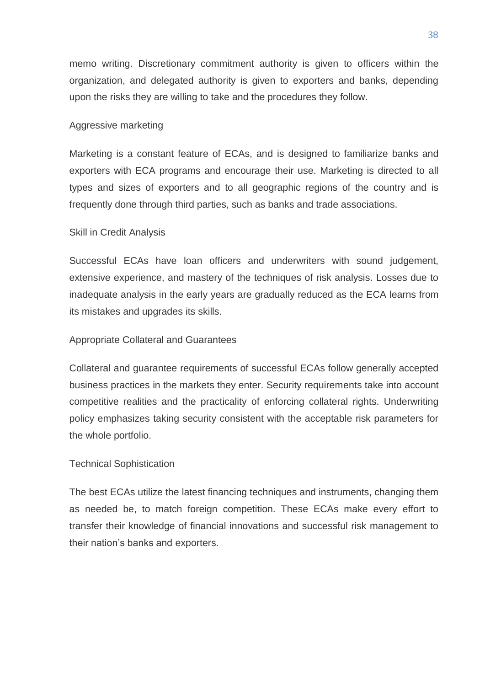memo writing. Discretionary commitment authority is given to officers within the organization, and delegated authority is given to exporters and banks, depending upon the risks they are willing to take and the procedures they follow.

# Aggressive marketing

Marketing is a constant feature of ECAs, and is designed to familiarize banks and exporters with ECA programs and encourage their use. Marketing is directed to all types and sizes of exporters and to all geographic regions of the country and is frequently done through third parties, such as banks and trade associations.

# Skill in Credit Analysis

Successful ECAs have loan officers and underwriters with sound judgement, extensive experience, and mastery of the techniques of risk analysis. Losses due to inadequate analysis in the early years are gradually reduced as the ECA learns from its mistakes and upgrades its skills.

# Appropriate Collateral and Guarantees

Collateral and guarantee requirements of successful ECAs follow generally accepted business practices in the markets they enter. Security requirements take into account competitive realities and the practicality of enforcing collateral rights. Underwriting policy emphasizes taking security consistent with the acceptable risk parameters for the whole portfolio.

# Technical Sophistication

The best ECAs utilize the latest financing techniques and instruments, changing them as needed be, to match foreign competition. These ECAs make every effort to transfer their knowledge of financial innovations and successful risk management to their nation's banks and exporters.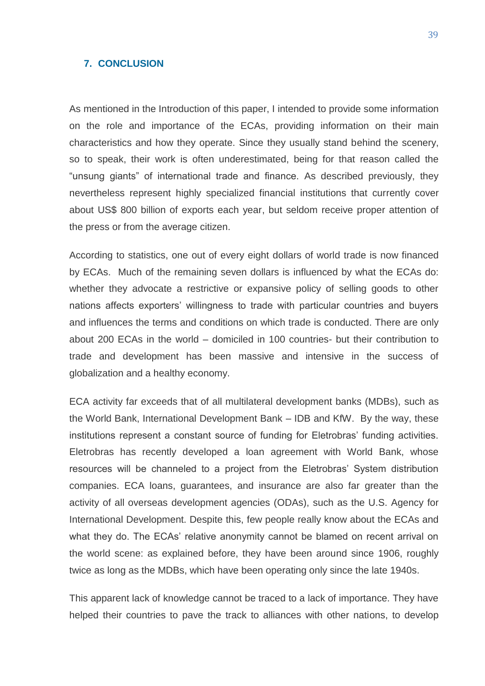# **7. CONCLUSION**

As mentioned in the Introduction of this paper, I intended to provide some information on the role and importance of the ECAs, providing information on their main characteristics and how they operate. Since they usually stand behind the scenery, so to speak, their work is often underestimated, being for that reason called the "unsung giants" of international trade and finance. As described previously, they nevertheless represent highly specialized financial institutions that currently cover about US\$ 800 billion of exports each year, but seldom receive proper attention of the press or from the average citizen.

According to statistics, one out of every eight dollars of world trade is now financed by ECAs. Much of the remaining seven dollars is influenced by what the ECAs do: whether they advocate a restrictive or expansive policy of selling goods to other nations affects exporters' willingness to trade with particular countries and buyers and influences the terms and conditions on which trade is conducted. There are only about 200 ECAs in the world – domiciled in 100 countries- but their contribution to trade and development has been massive and intensive in the success of globalization and a healthy economy.

ECA activity far exceeds that of all multilateral development banks (MDBs), such as the World Bank, International Development Bank – IDB and KfW. By the way, these institutions represent a constant source of funding for Eletrobras' funding activities. Eletrobras has recently developed a loan agreement with World Bank, whose resources will be channeled to a project from the Eletrobras' System distribution companies. ECA loans, guarantees, and insurance are also far greater than the activity of all overseas development agencies (ODAs), such as the U.S. Agency for International Development. Despite this, few people really know about the ECAs and what they do. The ECAs' relative anonymity cannot be blamed on recent arrival on the world scene: as explained before, they have been around since 1906, roughly twice as long as the MDBs, which have been operating only since the late 1940s.

This apparent lack of knowledge cannot be traced to a lack of importance. They have helped their countries to pave the track to alliances with other nations, to develop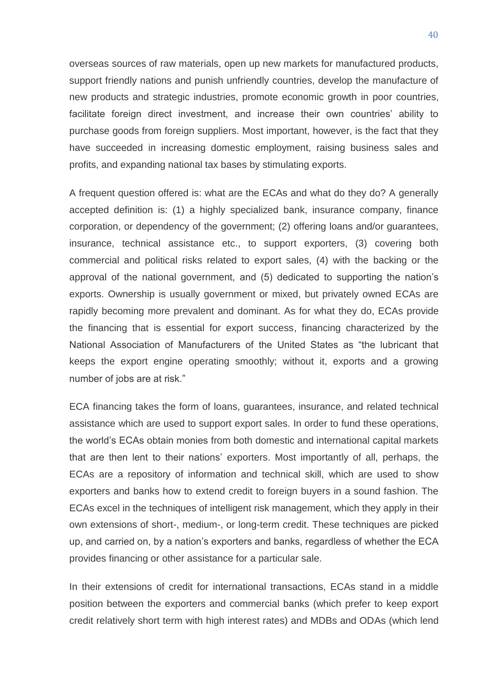overseas sources of raw materials, open up new markets for manufactured products, support friendly nations and punish unfriendly countries, develop the manufacture of new products and strategic industries, promote economic growth in poor countries, facilitate foreign direct investment, and increase their own countries' ability to purchase goods from foreign suppliers. Most important, however, is the fact that they have succeeded in increasing domestic employment, raising business sales and profits, and expanding national tax bases by stimulating exports.

A frequent question offered is: what are the ECAs and what do they do? A generally accepted definition is: (1) a highly specialized bank, insurance company, finance corporation, or dependency of the government; (2) offering loans and/or guarantees, insurance, technical assistance etc., to support exporters, (3) covering both commercial and political risks related to export sales, (4) with the backing or the approval of the national government, and (5) dedicated to supporting the nation's exports. Ownership is usually government or mixed, but privately owned ECAs are rapidly becoming more prevalent and dominant. As for what they do, ECAs provide the financing that is essential for export success, financing characterized by the National Association of Manufacturers of the United States as "the lubricant that keeps the export engine operating smoothly; without it, exports and a growing number of jobs are at risk."

ECA financing takes the form of loans, guarantees, insurance, and related technical assistance which are used to support export sales. In order to fund these operations, the world's ECAs obtain monies from both domestic and international capital markets that are then lent to their nations' exporters. Most importantly of all, perhaps, the ECAs are a repository of information and technical skill, which are used to show exporters and banks how to extend credit to foreign buyers in a sound fashion. The ECAs excel in the techniques of intelligent risk management, which they apply in their own extensions of short-, medium-, or long-term credit. These techniques are picked up, and carried on, by a nation's exporters and banks, regardless of whether the ECA provides financing or other assistance for a particular sale.

In their extensions of credit for international transactions, ECAs stand in a middle position between the exporters and commercial banks (which prefer to keep export credit relatively short term with high interest rates) and MDBs and ODAs (which lend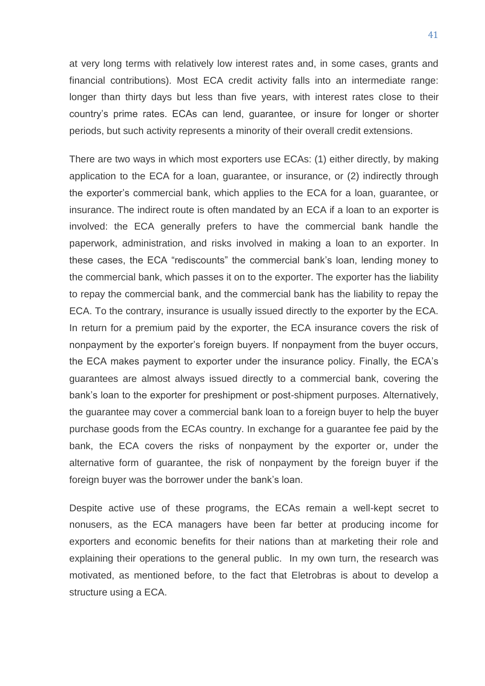at very long terms with relatively low interest rates and, in some cases, grants and financial contributions). Most ECA credit activity falls into an intermediate range: longer than thirty days but less than five years, with interest rates close to their country's prime rates. ECAs can lend, guarantee, or insure for longer or shorter periods, but such activity represents a minority of their overall credit extensions.

There are two ways in which most exporters use ECAs: (1) either directly, by making application to the ECA for a loan, guarantee, or insurance, or (2) indirectly through the exporter's commercial bank, which applies to the ECA for a loan, guarantee, or insurance. The indirect route is often mandated by an ECA if a loan to an exporter is involved: the ECA generally prefers to have the commercial bank handle the paperwork, administration, and risks involved in making a loan to an exporter. In these cases, the ECA "rediscounts" the commercial bank's loan, lending money to the commercial bank, which passes it on to the exporter. The exporter has the liability to repay the commercial bank, and the commercial bank has the liability to repay the ECA. To the contrary, insurance is usually issued directly to the exporter by the ECA. In return for a premium paid by the exporter, the ECA insurance covers the risk of nonpayment by the exporter's foreign buyers. If nonpayment from the buyer occurs, the ECA makes payment to exporter under the insurance policy. Finally, the ECA's guarantees are almost always issued directly to a commercial bank, covering the bank's loan to the exporter for preshipment or post-shipment purposes. Alternatively, the guarantee may cover a commercial bank loan to a foreign buyer to help the buyer purchase goods from the ECAs country. In exchange for a guarantee fee paid by the bank, the ECA covers the risks of nonpayment by the exporter or, under the alternative form of guarantee, the risk of nonpayment by the foreign buyer if the foreign buyer was the borrower under the bank's loan.

Despite active use of these programs, the ECAs remain a well-kept secret to nonusers, as the ECA managers have been far better at producing income for exporters and economic benefits for their nations than at marketing their role and explaining their operations to the general public. In my own turn, the research was motivated, as mentioned before, to the fact that Eletrobras is about to develop a structure using a ECA.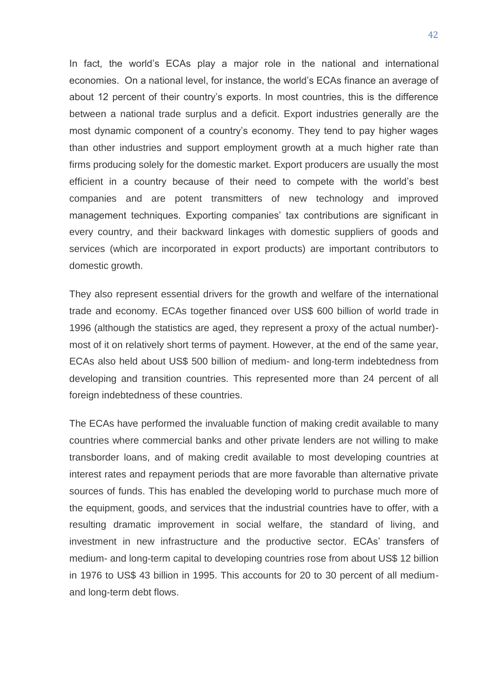In fact, the world's ECAs play a major role in the national and international economies. On a national level, for instance, the world's ECAs finance an average of about 12 percent of their country's exports. In most countries, this is the difference between a national trade surplus and a deficit. Export industries generally are the most dynamic component of a country's economy. They tend to pay higher wages than other industries and support employment growth at a much higher rate than firms producing solely for the domestic market. Export producers are usually the most efficient in a country because of their need to compete with the world's best companies and are potent transmitters of new technology and improved management techniques. Exporting companies' tax contributions are significant in every country, and their backward linkages with domestic suppliers of goods and services (which are incorporated in export products) are important contributors to domestic growth.

They also represent essential drivers for the growth and welfare of the international trade and economy. ECAs together financed over US\$ 600 billion of world trade in 1996 (although the statistics are aged, they represent a proxy of the actual number) most of it on relatively short terms of payment. However, at the end of the same year, ECAs also held about US\$ 500 billion of medium- and long-term indebtedness from developing and transition countries. This represented more than 24 percent of all foreign indebtedness of these countries.

The ECAs have performed the invaluable function of making credit available to many countries where commercial banks and other private lenders are not willing to make transborder loans, and of making credit available to most developing countries at interest rates and repayment periods that are more favorable than alternative private sources of funds. This has enabled the developing world to purchase much more of the equipment, goods, and services that the industrial countries have to offer, with a resulting dramatic improvement in social welfare, the standard of living, and investment in new infrastructure and the productive sector. ECAs' transfers of medium- and long-term capital to developing countries rose from about US\$ 12 billion in 1976 to US\$ 43 billion in 1995. This accounts for 20 to 30 percent of all mediumand long-term debt flows.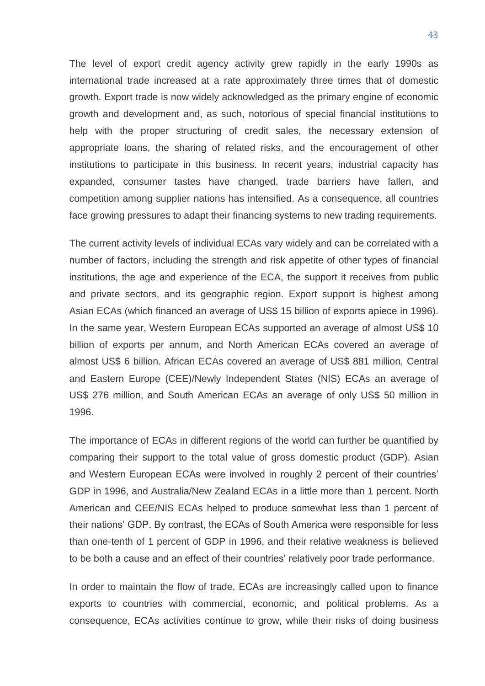The level of export credit agency activity grew rapidly in the early 1990s as international trade increased at a rate approximately three times that of domestic growth. Export trade is now widely acknowledged as the primary engine of economic growth and development and, as such, notorious of special financial institutions to help with the proper structuring of credit sales, the necessary extension of appropriate loans, the sharing of related risks, and the encouragement of other institutions to participate in this business. In recent years, industrial capacity has expanded, consumer tastes have changed, trade barriers have fallen, and competition among supplier nations has intensified. As a consequence, all countries face growing pressures to adapt their financing systems to new trading requirements.

The current activity levels of individual ECAs vary widely and can be correlated with a number of factors, including the strength and risk appetite of other types of financial institutions, the age and experience of the ECA, the support it receives from public and private sectors, and its geographic region. Export support is highest among Asian ECAs (which financed an average of US\$ 15 billion of exports apiece in 1996). In the same year, Western European ECAs supported an average of almost US\$ 10 billion of exports per annum, and North American ECAs covered an average of almost US\$ 6 billion. African ECAs covered an average of US\$ 881 million, Central and Eastern Europe (CEE)/Newly Independent States (NIS) ECAs an average of US\$ 276 million, and South American ECAs an average of only US\$ 50 million in 1996.

The importance of ECAs in different regions of the world can further be quantified by comparing their support to the total value of gross domestic product (GDP). Asian and Western European ECAs were involved in roughly 2 percent of their countries' GDP in 1996, and Australia/New Zealand ECAs in a little more than 1 percent. North American and CEE/NIS ECAs helped to produce somewhat less than 1 percent of their nations' GDP. By contrast, the ECAs of South America were responsible for less than one-tenth of 1 percent of GDP in 1996, and their relative weakness is believed to be both a cause and an effect of their countries' relatively poor trade performance.

In order to maintain the flow of trade, ECAs are increasingly called upon to finance exports to countries with commercial, economic, and political problems. As a consequence, ECAs activities continue to grow, while their risks of doing business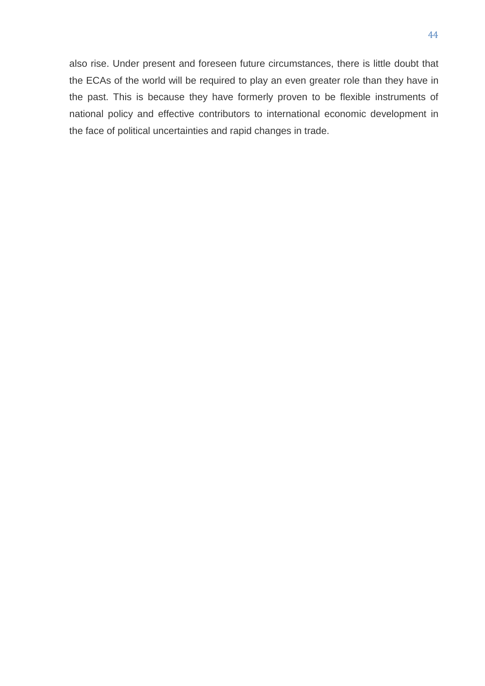also rise. Under present and foreseen future circumstances, there is little doubt that the ECAs of the world will be required to play an even greater role than they have in the past. This is because they have formerly proven to be flexible instruments of national policy and effective contributors to international economic development in the face of political uncertainties and rapid changes in trade.